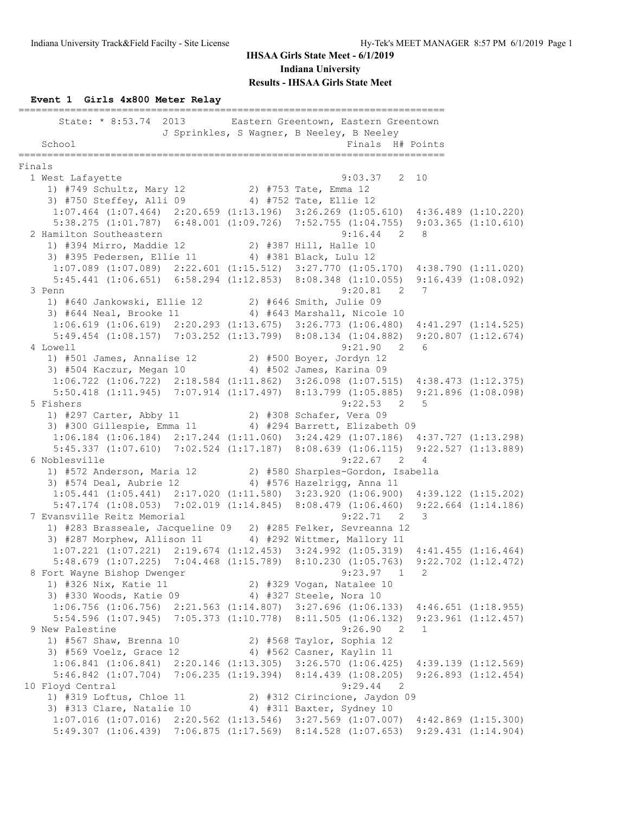#### **Event 1 Girls 4x800 Meter Relay**

========================================================================== State: \* 8:53.74 2013 Eastern Greentown, Eastern Greentown J Sprinkles, S Wagner, B Neeley, B Neeley School Finals H# Points ========================================================================== Finals 1 West Lafayette 9:03.37 2 10 1) #749 Schultz, Mary 12 2) #753 Tate, Emma 12 3) #750 Steffey, Alli 09 4) #752 Tate, Ellie 12 1:07.464 (1:07.464) 2:20.659 (1:13.196) 3:26.269 (1:05.610) 4:36.489 (1:10.220) 5:38.275 (1:01.787) 6:48.001 (1:09.726) 7:52.755 (1:04.755) 9:03.365 (1:10.610) 2 Hamilton Southeastern 9:16.44 2 8 1) #394 Mirro, Maddie 12 2) #387 Hill, Halle 10 3) #395 Pedersen, Ellie 11 4) #381 Black, Lulu 12 1:07.089 (1:07.089) 2:22.601 (1:15.512) 3:27.770 (1:05.170) 4:38.790 (1:11.020) 5:45.441 (1:06.651) 6:58.294 (1:12.853) 8:08.348 (1:10.055) 9:16.439 (1:08.092) 3 Penn 9:20.81 2 7 1) #640 Jankowski, Ellie 12 2) #646 Smith, Julie 09 3) #644 Neal, Brooke 11 4) #643 Marshall, Nicole 10 1:06.619 (1:06.619) 2:20.293 (1:13.675) 3:26.773 (1:06.480) 4:41.297 (1:14.525) 5:49.454 (1:08.157) 7:03.252 (1:13.799) 8:08.134 (1:04.882) 9:20.807 (1:12.674)<br>well 9:21.90 2 6 4 Lowell 9:21.90 2 6 1) #501 James, Annalise 12 2) #500 Boyer, Jordyn 12 3) #504 Kaczur, Megan 10 4) #502 James, Karina 09 1:06.722 (1:06.722) 2:18.584 (1:11.862) 3:26.098 (1:07.515) 4:38.473 (1:12.375) 5:50.418 (1:11.945) 7:07.914 (1:17.497) 8:13.799 (1:05.885) 9:21.896 (1:08.098) 5 Fishers 9:22.53 2 5 1) #297 Carter, Abby 11 2) #308 Schafer, Vera 09 3) #300 Gillespie, Emma 11 4) #294 Barrett, Elizabeth 09 1:06.184 (1:06.184) 2:17.244 (1:11.060) 3:24.429 (1:07.186) 4:37.727 (1:13.298) 5:45.337 (1:07.610) 7:02.524 (1:17.187) 8:08.639 (1:06.115) 9:22.527 (1:13.889) 6 Noblesville 9:22.67 2 4 1) #572 Anderson, Maria 12 2) #580 Sharples-Gordon, Isabella 3) #574 Deal, Aubrie 12 4) #576 Hazelrigg, Anna 11 1:05.441 (1:05.441) 2:17.020 (1:11.580) 3:23.920 (1:06.900) 4:39.122 (1:15.202) 5:47.174 (1:08.053) 7:02.019 (1:14.845) 8:08.479 (1:06.460) 9:22.664 (1:14.186) 7 Evansville Reitz Memorial 9:22.71 2 3 1) #283 Brasseale, Jacqueline 09 2) #285 Felker, Sevreanna 12  $\frac{1}{3}$  #287 Morphew, Allison 11  $\frac{1}{4}$  #292 Wittmer, Mallory 11 1:07.221 (1:07.221) 2:19.674 (1:12.453) 3:24.992 (1:05.319) 4:41.455 (1:16.464) 5:48.679 (1:07.225) 7:04.468 (1:15.789) 8:10.230 (1:05.763) 9:22.702 (1:12.472) 8 Fort Wayne Bishop Dwenger 9:23.97 1 2 1) #326 Nix, Katie 11 2) #329 Vogan, Natalee 10 3) #330 Woods, Katie 09 4) #327 Steele, Nora 10 1:06.756 (1:06.756) 2:21.563 (1:14.807) 3:27.696 (1:06.133) 4:46.651 (1:18.955) 5:54.596 (1:07.945) 7:05.373 (1:10.778) 8:11.505 (1:06.132) 9:23.961 (1:12.457) 9 New Palestine 9:26.90 2 1 1) #567 Shaw, Brenna 10 2) #568 Taylor, Sophia 12 3) #569 Voelz, Grace 12 4) #562 Casner, Kaylin 11 1:06.841 (1:06.841) 2:20.146 (1:13.305) 3:26.570 (1:06.425) 4:39.139 (1:12.569) 5:46.842 (1:07.704) 7:06.235 (1:19.394) 8:14.439 (1:08.205) 9:26.893 (1:12.454) 10 Floyd Central 9:29.44 2 1) #319 Loftus, Chloe 11 2) #312 Cirincione, Jaydon 09 3) #313 Clare, Natalie 10 4) #311 Baxter, Sydney 10 1:07.016 (1:07.016) 2:20.562 (1:13.546) 3:27.569 (1:07.007) 4:42.869 (1:15.300) 5:49.307 (1:06.439) 7:06.875 (1:17.569) 8:14.528 (1:07.653) 9:29.431 (1:14.904)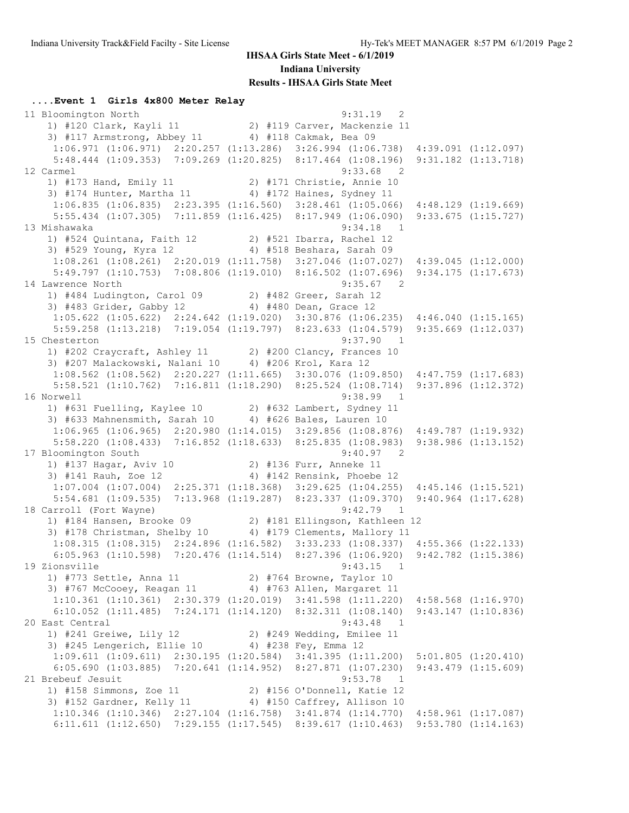**....Event 1 Girls 4x800 Meter Relay**

 11 Bloomington North 9:31.19 2 1) #120 Clark, Kayli 11 2) #119 Carver, Mackenzie 11 3) #117 Armstrong, Abbey 11 4) #118 Cakmak, Bea 09 1:06.971 (1:06.971) 2:20.257 (1:13.286) 3:26.994 (1:06.738) 4:39.091 (1:12.097) 5:48.444 (1:09.353) 7:09.269 (1:20.825) 8:17.464 (1:08.196) 9:31.182 (1:13.718) 12 Carmel 9:33.68 2 1) #173 Hand, Emily 11 2) #171 Christie, Annie 10 3) #174 Hunter, Martha 11 4) #172 Haines, Sydney 11 1:06.835 (1:06.835) 2:23.395 (1:16.560) 3:28.461 (1:05.066) 4:48.129 (1:19.669) 5:55.434 (1:07.305) 7:11.859 (1:16.425) 8:17.949 (1:06.090) 9:33.675 (1:15.727) 13 Mishawaka 9:34.18 1 1) #524 Quintana, Faith 12 2) #521 Ibarra, Rachel 12 3) #529 Young, Kyra 12 4) #518 Beshara, Sarah 09 1:08.261 (1:08.261) 2:20.019 (1:11.758) 3:27.046 (1:07.027) 4:39.045 (1:12.000) 5:49.797 (1:10.753) 7:08.806 (1:19.010) 8:16.502 (1:07.696) 9:34.175 (1:17.673) 14 Lawrence North 9:35.67 2 1) #484 Ludington, Carol 09 2) #482 Greer, Sarah 12 3) #483 Grider, Gabby 12 4) #480 Dean, Grace 12 1:05.622 (1:05.622) 2:24.642 (1:19.020) 3:30.876 (1:06.235) 4:46.040 (1:15.165) 5:59.258 (1:13.218) 7:19.054 (1:19.797) 8:23.633 (1:04.579) 9:35.669 (1:12.037) 15 Chesterton 9:37.90 1 1) #202 Craycraft, Ashley 11 2) #200 Clancy, Frances 10 3) #207 Malackowski, Nalani 10 4) #206 Krol, Kara 12 1:08.562 (1:08.562) 2:20.227 (1:11.665) 3:30.076 (1:09.850) 4:47.759 (1:17.683) 5:58.521 (1:10.762) 7:16.811 (1:18.290) 8:25.524 (1:08.714) 9:37.896 (1:12.372) 16 Norwell 9:38.99 1 1) #631 Fuelling, Kaylee 10 2) #632 Lambert, Sydney 11 3) #633 Mahnensmith, Sarah 10 4) #626 Bales, Lauren 10 1:06.965 (1:06.965) 2:20.980 (1:14.015) 3:29.856 (1:08.876) 4:49.787 (1:19.932) 5:58.220 (1:08.433) 7:16.852 (1:18.633) 8:25.835 (1:08.983) 9:38.986 (1:13.152) 17 Bloomington South 9:40.97 2 1) #137 Hagar, Aviv 10 2) #136 Furr, Anneke 11 3) #141 Rauh, Zoe 12 4) #142 Rensink, Phoebe 12 1:07.004 (1:07.004) 2:25.371 (1:18.368) 3:29.625 (1:04.255) 4:45.146 (1:15.521) 5:54.681 (1:09.535) 7:13.968 (1:19.287) 8:23.337 (1:09.370) 9:40.964 (1:17.628) 18 Carroll (Fort Wayne) 9:42.79 1 1) #184 Hansen, Brooke 09 2) #181 Ellingson, Kathleen 12 3) #178 Christman, Shelby 10 4) #179 Clements, Mallory 11 1:08.315 (1:08.315) 2:24.896 (1:16.582) 3:33.233 (1:08.337) 4:55.366 (1:22.133) 6:05.963 (1:10.598) 7:20.476 (1:14.514) 8:27.396 (1:06.920) 9:42.782 (1:15.386) 19 Zionsville 9:43.15 1 1) #773 Settle, Anna 11 2) #764 Browne, Taylor 10 3) #767 McCooey, Reagan 11 4) #763 Allen, Margaret 11 1:10.361 (1:10.361) 2:30.379 (1:20.019) 3:41.598 (1:11.220) 4:58.568 (1:16.970) 6:10.052 (1:11.485) 7:24.171 (1:14.120) 8:32.311 (1:08.140) 9:43.147 (1:10.836) 20 East Central 9:43.48 1 1) #241 Greiwe, Lily 12 2) #249 Wedding, Emilee 11 3) #245 Lengerich, Ellie 10  $\,$  4) #238 Fey, Emma 12  $1:09.611\;\; (1:09.611)\quad \ 2:30.195\;\; (1:20.584)\quad \ 3:41.395\;\; (1:11.200)\quad \ 5:01.805\;\; (1:20.410)$  6:05.690 (1:03.885) 7:20.641 (1:14.952) 8:27.871 (1:07.230) 9:43.479 (1:15.609) 21 Brebeuf Jesuit 9:53.78 1 1) #158 Simmons, Zoe 11 2) #156 O'Donnell, Katie 12 3) #152 Gardner, Kelly 11 4) #150 Caffrey, Allison 10 1:10.346 (1:10.346) 2:27.104 (1:16.758) 3:41.874 (1:14.770) 4:58.961 (1:17.087) 6:11.611 (1:12.650) 7:29.155 (1:17.545) 8:39.617 (1:10.463) 9:53.780 (1:14.163)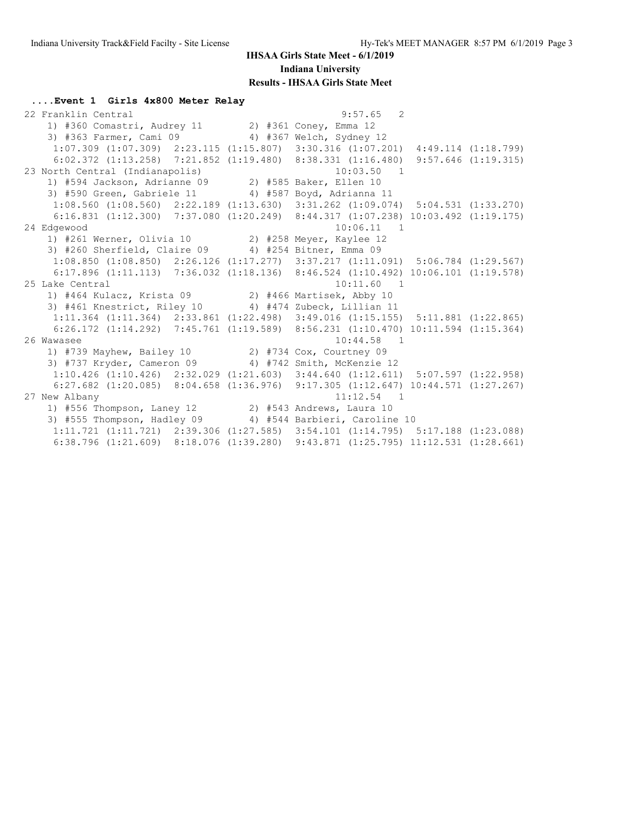**....Event 1 Girls 4x800 Meter Relay**

 22 Franklin Central 9:57.65 2 1) #360 Comastri, Audrey 11 2) #361 Coney, Emma 12 3) #363 Farmer, Cami 09 4) #367 Welch, Sydney 12 1:07.309 (1:07.309) 2:23.115 (1:15.807) 3:30.316 (1:07.201) 4:49.114 (1:18.799) 6:02.372 (1:13.258) 7:21.852 (1:19.480) 8:38.331 (1:16.480) 9:57.646 (1:19.315) 23 North Central (Indianapolis) 10:03.50 1 1) #594 Jackson, Adrianne 09 2) #585 Baker, Ellen 10 3) #590 Green, Gabriele 11 4) #587 Boyd, Adrianna 11 1:08.560 (1:08.560) 2:22.189 (1:13.630) 3:31.262 (1:09.074) 5:04.531 (1:33.270) 6:16.831 (1:12.300) 7:37.080 (1:20.249) 8:44.317 (1:07.238) 10:03.492 (1:19.175) 24 Edgewood 10:06.11 1 1) #261 Werner, Olivia 10 2) #258 Meyer, Kaylee 12 3) #260 Sherfield, Claire 09 4) #254 Bitner, Emma 09 1:08.850 (1:08.850) 2:26.126 (1:17.277) 3:37.217 (1:11.091) 5:06.784 (1:29.567) 6:17.896 (1:11.113) 7:36.032 (1:18.136) 8:46.524 (1:10.492) 10:06.101 (1:19.578) 25 Lake Central 10:11.60 1 1) #464 Kulacz, Krista 09 2) #466 Martisek, Abby 10 3) #461 Knestrict, Riley 10 4) #474 Zubeck, Lillian 11 1:11.364 (1:11.364) 2:33.861 (1:22.498) 3:49.016 (1:15.155) 5:11.881 (1:22.865) 6:26.172 (1:14.292) 7:45.761 (1:19.589) 8:56.231 (1:10.470) 10:11.594 (1:15.364) 26 Wawasee 10:44.58 1 1) #739 Mayhew, Bailey 10 2) #734 Cox, Courtney 09 3) #737 Kryder, Cameron 09 4) #742 Smith, McKenzie 12 1:10.426 (1:10.426) 2:32.029 (1:21.603) 3:44.640 (1:12.611) 5:07.597 (1:22.958) 6:27.682 (1:20.085) 8:04.658 (1:36.976) 9:17.305 (1:12.647) 10:44.571 (1:27.267) 27 New Albany 11:12.54 1 1) #556 Thompson, Laney 12 2) #543 Andrews, Laura 10 3) #555 Thompson, Hadley 09 4) #544 Barbieri, Caroline 10 1:11.721 (1:11.721) 2:39.306 (1:27.585) 3:54.101 (1:14.795) 5:17.188 (1:23.088) 6:38.796 (1:21.609) 8:18.076 (1:39.280) 9:43.871 (1:25.795) 11:12.531 (1:28.661)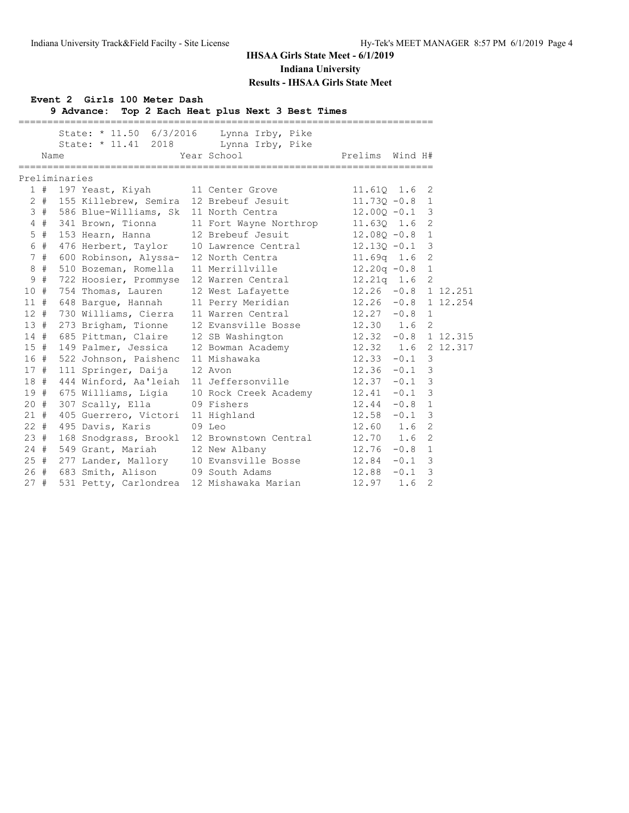# **Event 2 Girls 100 Meter Dash**

**9 Advance: Top 2 Each Heat plus Next 3 Best Times**

|        |       |                                             | State: * 11.50 6/3/2016 Lynna Irby, Pike<br>State: * 11.41 2018 Lynna Irby, Pike |                       |          |                |
|--------|-------|---------------------------------------------|----------------------------------------------------------------------------------|-----------------------|----------|----------------|
|        | Name  |                                             | Year School                                                                      | Prelims Wind H#       |          |                |
|        |       | Preliminaries                               |                                                                                  |                       |          |                |
|        |       | 1 # 197 Yeast, Kiyah                        | 11 Center Grove                                                                  | 11.610 1.6            |          | 2              |
|        |       | 2 # 155 Killebrew, Semira 12 Brebeuf Jesuit |                                                                                  | $11.730 - 0.8$ 1      |          |                |
|        |       | 3 # 586 Blue-Williams, Sk 11 North Centra   |                                                                                  | $12.00Q - 0.1$ 3      |          |                |
|        |       | 4 # 341 Brown, Tionna                       | 11 Fort Wayne Northrop                                                           | $11.63Q$ $1.6$ 2      |          |                |
|        | $5$ # | 153 Hearn, Hanna                            | 12 Brebeuf Jesuit                                                                | $12.080 - 0.8$ 1      |          |                |
|        | 6 #   | 476 Herbert, Taylor                         | 10 Lawrence Central                                                              | $12.13Q - 0.1$ 3      |          |                |
|        | 7#    | 600 Robinson, Alyssa-                       | 12 North Centra                                                                  | 11.69q    1.6         |          | $\overline{2}$ |
|        | $8 +$ | 510 Bozeman, Romella                        | 11 Merrillville                                                                  | $12.20q - 0.8$ 1      |          |                |
|        | 9#    | 722 Hoosier, Prommyse                       | 12 Warren Central                                                                | $12.21q$ 1.6 2        |          |                |
| 10#    |       | 754 Thomas, Lauren                          | 12 West Lafayette                                                                | $12.26 -0.8$ 1 12.251 |          |                |
| 11#    |       | 648 Barque, Hannah                          | 11 Perry Meridian 12.26 -0.8 1 12.254                                            |                       |          |                |
| 12#    |       | 730 Williams, Cierra                        | 11 Warren Central                                                                | $12.27 -0.8$ 1        |          |                |
| 13#    |       | 273 Brigham, Tionne                         | 12 Evansville Bosse                                                              | 12.30 1.6 2           |          |                |
| 14#    |       | 685 Pittman, Claire                         | 12 SB Washington 12.32 -0.8 1 12.315                                             |                       |          |                |
| 15#    |       | 149 Palmer, Jessica                         | 12 Bowman Academy 12.32 1.6 2 12.317                                             |                       |          |                |
|        | 16 #  | 522 Johnson, Paishenc                       | 11 Mishawaka                                                                     | $12.33 - 0.1$ 3       |          |                |
| 17#    |       | 111 Springer, Daija                         | 12 Avon                                                                          | $12.36 -0.1$ 3        |          |                |
| 18#    |       | 444 Winford, Aa'leiah                       | 11 Jeffersonville                                                                | $12.37 -0.1$ 3        |          |                |
|        |       | 19 # 675 Williams, Ligia                    | 10 Rock Creek Academy 12.41 -0.1 3                                               |                       |          |                |
| 20#    |       | 307 Scally, Ella                            | 09 Fishers                                                                       | $12.44 - 0.8$ 1       |          |                |
| 21#    |       | 405 Guerrero, Victori                       | 11 Highland                                                                      | 12.58                 | $-0.1$   | $\overline{3}$ |
| $22 +$ |       | 495 Davis, Karis                            | $09$ Leo                                                                         | $12.60$ $1.6$         |          | $\overline{2}$ |
| 23#    |       | 168 Snodgrass, Brookl                       | 12 Brownstown Central                                                            | 12.70 1.6             |          | $\overline{2}$ |
|        |       | 24 # 549 Grant, Mariah                      | 12 New Albany                                                                    | 12.76                 | $-0.8$ 1 |                |
|        |       | 25 # 277 Lander, Mallory                    | 10 Evansville Bosse 12.84                                                        |                       | $-0.1$ 3 |                |
|        |       | 26 # 683 Smith, Alison                      | 09 South Adams                                                                   | 12.88                 | $-0.1$ 3 |                |
| 27#    |       | 531 Petty, Carlondrea                       | 12 Mishawaka Marian                                                              | 12.97                 | 1.6      | $\overline{2}$ |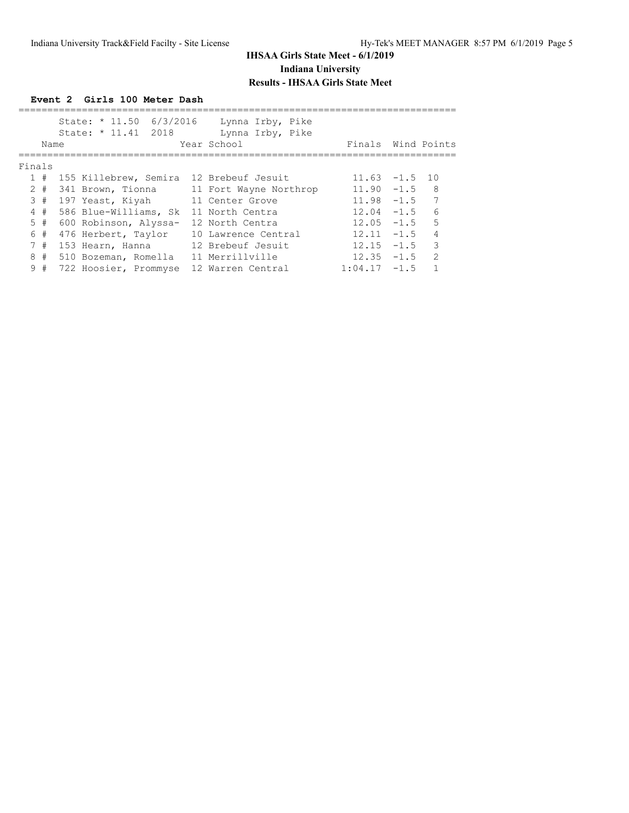|        |      | Event 2 Girls 100 Meter Dash                   |                                                     |                  |        |                |
|--------|------|------------------------------------------------|-----------------------------------------------------|------------------|--------|----------------|
|        |      | State: * 11.50 6/3/2016<br>State: * 11.41 2018 | Lynna Irby, Pike<br>Lynna Irby, Pike<br>Year School | Finals           |        | Wind Points    |
|        | Name |                                                |                                                     |                  |        |                |
| Finals |      |                                                |                                                     |                  |        |                |
| 1#     |      | 155 Killebrew, Semira 12 Brebeuf Jesuit        |                                                     | $11.63 - 1.5$ 10 |        |                |
| $2 +$  |      | 341 Brown, Tionna                              | 11 Fort Wayne Northrop                              | $11.90 - 1.5$    |        | 8              |
| 3#     |      | 197 Yeast, Kiyah                               | 11 Center Grove                                     | $11.98 - 1.5$    |        | 7              |
| 4#     |      | 586 Blue-Williams, Sk                          | 11 North Centra                                     | $12.04 - 1.5$    |        | $\sqrt{2}$     |
| 5#     |      | 600 Robinson, Alyssa-                          | 12 North Centra                                     | $12.05 - 1.5$    |        | 5              |
| 6#     |      | 476 Herbert, Taylor                            | 10 Lawrence Central                                 | 12.11            | $-1.5$ | $\overline{4}$ |
| 7#     |      | 153 Hearn, Hanna                               | 12 Brebeuf Jesuit                                   | 12.15            | $-1.5$ | 3              |
| 8#     |      | 510 Bozeman, Romella                           | 11 Merrillville                                     | $12.35 - 1.5$    |        | $\mathcal{P}$  |
| 9      | #    | 722 Hoosier, Prommyse                          | 12 Warren Central                                   | 1:04.17          | $-1.5$ |                |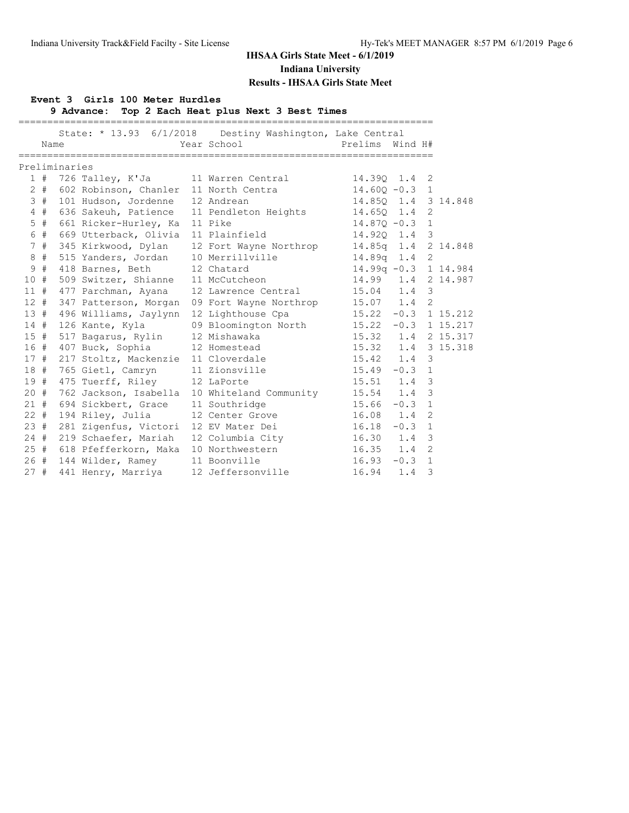#### **Event 3 Girls 100 Meter Hurdles**

**9 Advance: Top 2 Each Heat plus Next 3 Best Times**

|     | Name |               |                                            | State: * 13.93 6/1/2018 Destiny Washington, Lake Central<br>Year School | =========================<br>Prelims<br>Wind H# |  |
|-----|------|---------------|--------------------------------------------|-------------------------------------------------------------------------|-------------------------------------------------|--|
|     |      | Preliminaries |                                            |                                                                         |                                                 |  |
|     |      |               | 1 # 726 Talley, K'Ja 11 Warren Central     |                                                                         | 14.390 1.4<br>2                                 |  |
|     |      |               | 2 # 602 Robinson, Chanler 11 North Centra  |                                                                         | $14.60Q - 0.3$ 1                                |  |
|     | 3#   |               | 101 Hudson, Jordenne                       | 12 Andrean                                                              | 14.850 1.4 3 14.848                             |  |
|     | 4#   |               |                                            | 636 Sakeuh, Patience 11 Pendleton Heights                               | $14.650$ $1.4$<br>2                             |  |
|     |      |               | 5 # 661 Ricker-Hurley, Ka 11 Pike          |                                                                         | $14.87Q - 0.3$ 1                                |  |
|     | 6 #  |               | 669 Utterback, Olivia                      | 11 Plainfield                                                           | 14.920 1.4<br>3                                 |  |
|     | 7#   |               | 345 Kirkwood, Dylan                        | 12 Fort Wayne Northrop                                                  | 14.85q 1.4 2 14.848                             |  |
|     | 8#   |               | 515 Yanders, Jordan                        | 10 Merrillville                                                         | 14.89q 1.4 2                                    |  |
|     | 9#   |               | 418 Barnes, Beth                           | 12 Chatard                                                              | 14.99q -0.3 1 14.984                            |  |
|     |      |               | 10 # 509 Switzer, Shianne 11 McCutcheon    |                                                                         | 14.99  1.4  2  14.987                           |  |
|     |      |               | 11 # 477 Parchman, Ayana                   | 12 Lawrence Central                                                     | 15.04 1.4 3                                     |  |
|     | 12#  |               | 347 Patterson, Morgan                      | 09 Fort Wayne Northrop 15.07 1.4                                        | 2                                               |  |
|     |      |               | 13 # 496 Williams, Jaylynn                 | 12 Lighthouse Cpa                                                       | $15.22 -0.3$ 1 15.212                           |  |
|     |      |               | 14 # 126 Kante, Kyla                       | 09 Bloomington North                                                    | $15.22 -0.3$ 1 15.217                           |  |
|     |      |               | 15 # 517 Bagarus, Rylin                    | 12 Mishawaka                                                            | 15.32 1.4 2 15.317                              |  |
|     |      |               | 16 # 407 Buck, Sophia                      | 12 Homestead                                                            | 15.32 1.4 3 15.318                              |  |
|     |      |               | 17 # 217 Stoltz, Mackenzie 11 Cloverdale   |                                                                         | 15.42 1.4 3                                     |  |
| 18# |      |               | 765 Gietl, Camryn                          | 11 Zionsville                                                           | $15.49 - 0.3$<br>$\mathbf{1}$                   |  |
|     |      |               | 19 # 475 Tuerff, Riley 12 LaPorte          |                                                                         | $15.51$ $1.4$<br>3                              |  |
|     |      |               |                                            | 20 # 762 Jackson, Isabella 10 Whiteland Community                       | $15.54$ 1.4<br>3                                |  |
|     | 21#  |               | 694 Sickbert, Grace                        | 11 Southridge                                                           | $15.66 - 0.3$<br>$\mathbf{1}$                   |  |
|     |      |               | 22 # 194 Riley, Julia                      | 12 Center Grove                                                         | 16.08 1.4<br>$\overline{2}$                     |  |
| 23# |      |               | 281 Zigenfus, Victori                      | 12 EV Mater Dei                                                         | 16.18<br>$-0.3$<br>$\mathbf{1}$                 |  |
|     |      |               | 24 # 219 Schaefer, Mariah                  | 12 Columbia City 16.30 1.4                                              | 3                                               |  |
|     |      |               | 25 # 618 Pfefferkorn, Maka 10 Northwestern |                                                                         | $16.35$ $1.4$<br>$\overline{2}$                 |  |
|     |      |               | 26 # 144 Wilder, Ramey 11 Boonville        |                                                                         | 16.93<br>$-0.3$<br>$\mathbf{1}$                 |  |
| 27# |      |               | 441 Henry, Marriya                         | 12 Jeffersonville                                                       | 16.94<br>3<br>1.4                               |  |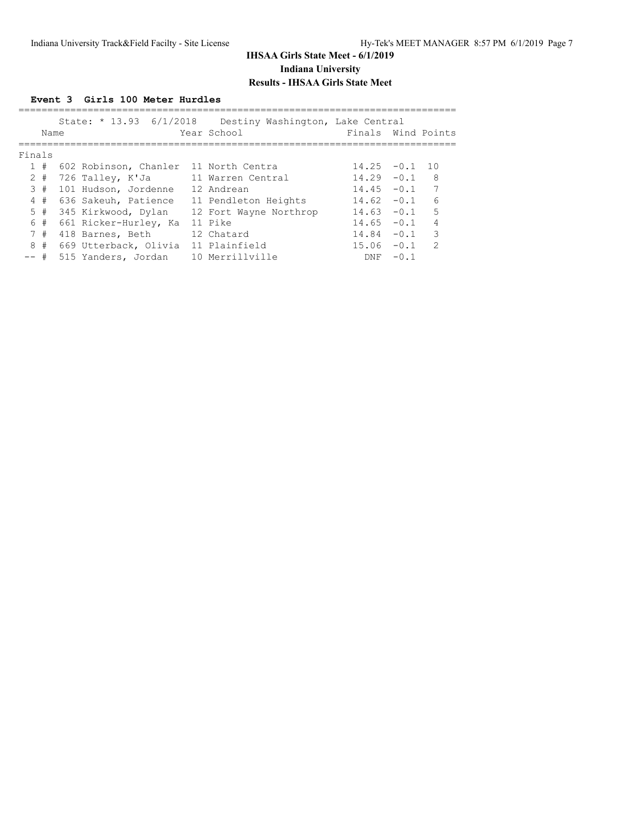### **Event 3 Girls 100 Meter Hurdles**

|        | Name  | State: * 13.93 6/1/2018               | Destiny Washington, Lake Central<br>Year School | Finals Wind Points |        |                |
|--------|-------|---------------------------------------|-------------------------------------------------|--------------------|--------|----------------|
| Finals |       |                                       |                                                 |                    |        |                |
|        | 1#    | 602 Robinson, Chanler 11 North Centra |                                                 | 14.25              | $-0.1$ | 1 O            |
|        | $2 +$ | 726 Talley, K'Ja                      | 11 Warren Central                               | 14.29              | $-0.1$ | 8              |
|        | 3#    | 101 Hudson, Jordenne                  | 12 Andrean                                      | 14.45              | $-0.1$ |                |
|        | 4#    | 636 Sakeuh, Patience                  | 11 Pendleton Heights                            | 14.62              | $-0.1$ | 6              |
|        | 5#    | 345 Kirkwood, Dylan                   | 12 Fort Wayne Northrop                          | 14.63              | $-0.1$ | 5              |
|        | 6#    | 661 Ricker-Hurley, Ka                 | 11 Pike                                         | 14.65              | $-0.1$ | $\overline{4}$ |
|        | 7#    | 418 Barnes, Beth                      | 12 Chatard                                      | 14.84              | $-0.1$ | 3              |
|        | 8#    | 669 Utterback, Olivia                 | 11 Plainfield                                   | 15.06              | $-0.1$ | $\mathcal{D}$  |
| -- #   |       | 515 Yanders, Jordan                   | 10 Merrillville                                 | <b>DNF</b>         | $-0.1$ |                |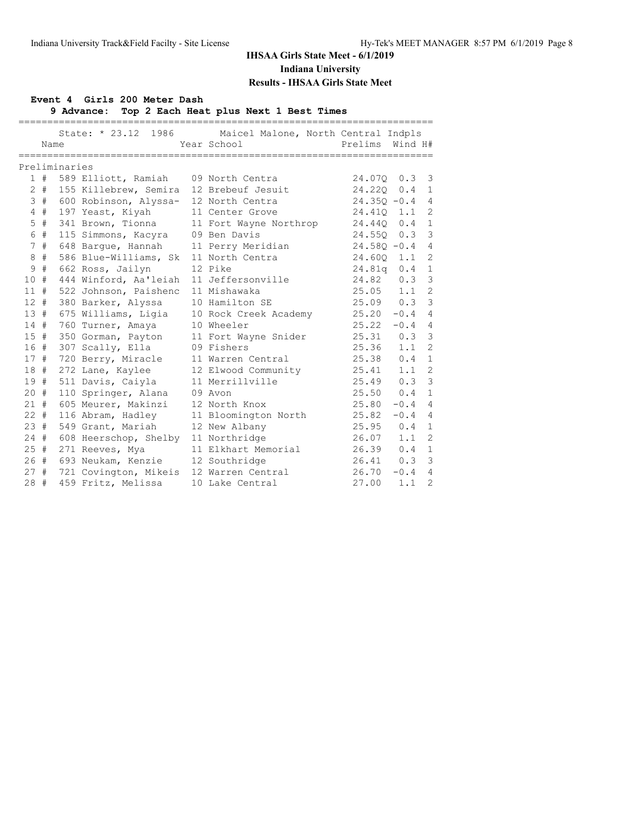#### **Event 4 Girls 200 Meter Dash**

**9 Advance: Top 2 Each Heat plus Next 1 Best Times**

|        | Name  |               |                                         | State: * 23.12 1986 Maicel Malone, North Central Indpls<br>Year School | Prelims        | Wind H# |                |
|--------|-------|---------------|-----------------------------------------|------------------------------------------------------------------------|----------------|---------|----------------|
|        |       |               |                                         |                                                                        |                |         |                |
|        |       | Preliminaries |                                         |                                                                        |                |         |                |
|        |       |               | 1 # 589 Elliott, Ramiah 09 North Centra |                                                                        | 24.070         | 0.3     | 3              |
|        | $2 +$ |               | 155 Killebrew, Semira 12 Brebeuf Jesuit |                                                                        | 24.22Q         | 0.4     | $\mathbf{1}$   |
|        | 3#    |               | 600 Robinson, Alyssa- 12 North Centra   |                                                                        | $24.350 - 0.4$ |         | $\overline{4}$ |
|        | 4#    |               | 197 Yeast, Kiyah                        | 11 Center Grove                                                        | 24.410         | 1.1     | 2              |
|        | $5$ # |               |                                         | 341 Brown, Tionna 11 Fort Wayne Northrop                               | 24.440         | 0.4     | $\mathbf{1}$   |
|        | 6 #   |               | 115 Simmons, Kacyra 09 Ben Davis        |                                                                        | $24.550$ 0.3   |         | $\mathcal{S}$  |
|        | 7#    |               | 648 Barque, Hannah                      | 11 Perry Meridian                                                      | $24.58Q - 0.4$ |         | $\overline{4}$ |
| 8      | #     |               | 586 Blue-Williams, Sk                   | 11 North Centra                                                        | 24.600         | 1.1     | 2              |
| 9      | #     |               | 662 Ross, Jailyn                        | 12 Pike                                                                | $24.81q$ 0.4   |         | $\mathbf{1}$   |
| 10#    |       |               | 444 Winford, Aa'leiah 11 Jeffersonville |                                                                        | 24.82          | 0.3     | 3              |
| $11$ # |       |               | 522 Johnson, Paishenc                   | 11 Mishawaka                                                           | 25.05          | 1.1     | $\overline{2}$ |
| $12 +$ |       |               | 380 Barker, Alyssa                      | 10 Hamilton SE                                                         | 25.09 0.3      |         | 3              |
| 13#    |       |               | 675 Williams, Ligia                     | 10 Rock Creek Academy                                                  | $25.20 -0.4 4$ |         |                |
| 14#    |       |               | 760 Turner, Amaya                       | 10 Wheeler                                                             | $25.22 -0.4$ 4 |         |                |
| $15$ # |       |               | 350 Gorman, Payton                      | 11 Fort Wayne Snider                                                   | $25.31$ 0.3    |         | 3              |
| 16#    |       |               | 307 Scally, Ella                        | 09 Fishers                                                             | 25.36          | 1.1     | $\overline{2}$ |
| 17#    |       |               | 720 Berry, Miracle                      | 11 Warren Central                                                      | 25.38          | 0.4     | $\mathbf{1}$   |
|        | 18#   |               | 272 Lane, Kaylee                        | 12 Elwood Community                                                    | 25.41          | 1.1     | 2              |
| 19#    |       |               | 511 Davis, Caiyla                       | 11 Merrillville                                                        | 25.49          | 0.3     | $\mathcal{E}$  |
| $20 +$ |       |               | 110 Springer, Alana                     | 09 Avon                                                                | 25.50          | 0.4     | $\overline{1}$ |
| $21 +$ |       |               | 605 Meurer, Makinzi                     | 12 North Knox                                                          | 25.80          | $-0.4$  | $\overline{4}$ |
| $22 +$ |       |               | 116 Abram, Hadley                       | 11 Bloomington North                                                   | 25.82          | $-0.4$  | $\overline{4}$ |
| 23#    |       |               | 549 Grant, Mariah                       | 12 New Albany                                                          | 25.95          | 0.4     | $\mathbf{1}$   |
| $24 +$ |       |               | 608 Heerschop, Shelby 11 Northridge     |                                                                        | 26.07          | 1.1     | 2              |
|        | 25#   |               | 271 Reeves, Mya                         | 11 Elkhart Memorial                                                    | 26.39          | 0.4     | $\mathbf{1}$   |
|        | 26#   |               | 693 Neukam, Kenzie 12 Southridge        |                                                                        | 26.41          | 0.3     | 3              |
|        | 27#   |               | 721 Covington, Mikeis 12 Warren Central |                                                                        | 26.70          | $-0.4$  | $\overline{4}$ |
| 28#    |       |               | 459 Fritz, Melissa                      | 10 Lake Central                                                        | 27.00          | 1.1     | $\overline{2}$ |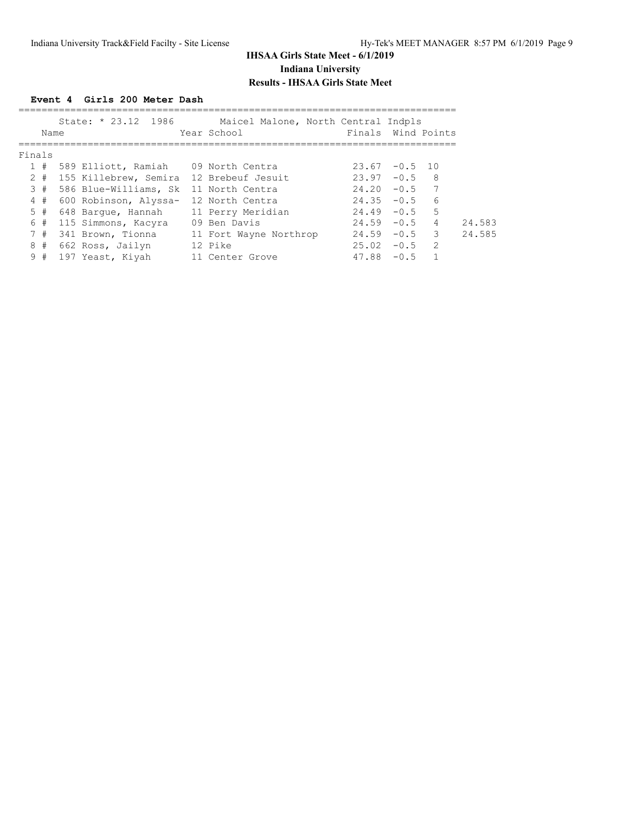**Event 4 Girls 200 Meter Dash**

|        | Name  | State: * 23.12 1986                     | Maicel Malone, North Central Indpls<br>Year School | Finals Wind Points |               |                 |
|--------|-------|-----------------------------------------|----------------------------------------------------|--------------------|---------------|-----------------|
| Finals |       |                                         |                                                    |                    |               |                 |
|        | 1#    | 589 Elliott, Ramiah 09 North Centra     |                                                    | 23.67              | $-0.5$ 10     |                 |
|        | $2 +$ | 155 Killebrew, Semira 12 Brebeuf Jesuit |                                                    | 23.97              | $-0.5$        | -8              |
|        | 3#    | 586 Blue-Williams, Sk                   | 11 North Centra                                    | 24.20              | $-0.5$        | 7               |
|        | 4#    | 600 Robinson, Alyssa-                   | 12 North Centra                                    | 24.35              | $-0.5$        | $6\overline{6}$ |
|        | 5#    | 648 Barque, Hannah                      | 11 Perry Meridian                                  | 24.49              | $-0.5$        | -5              |
|        | 6#    | 115 Simmons, Kacyra                     | 09 Ben Davis                                       |                    | $24.59 - 0.5$ | $\overline{4}$  |
|        | 7#    | 341 Brown, Tionna                       | 11 Fort Wayne Northrop                             | 24.59              | $-0.5$        | $\mathcal{S}$   |
|        | 8#    | 662 Ross, Jailyn                        | 12 Pike                                            | 25.02              | $-0.5$        | $\mathcal{L}$   |
|        | 9#    | 197 Yeast, Kiyah                        | 11 Center Grove                                    | 47.88              | $-0.5$        |                 |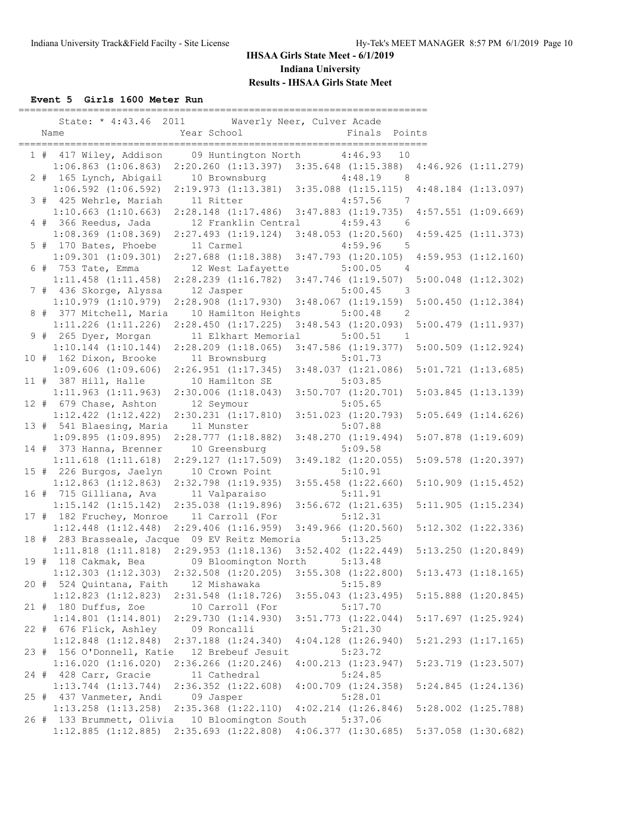**Event 5 Girls 1600 Meter Run**

| ========================<br>State: * 4:43.46 2011<br>Waverly Neer, Culver Acade<br>Year School<br>Finals Points<br>Name |                                                 |
|-------------------------------------------------------------------------------------------------------------------------|-------------------------------------------------|
|                                                                                                                         |                                                 |
| 09 Huntington North<br>1 # 417 Wiley, Addison<br>4:46.93 10                                                             |                                                 |
| $1:06.863$ $(1:06.863)$<br>2:20.260 (1:13.397) 3:35.648 (1:15.388) 4:46.926 (1:11.279)                                  |                                                 |
| 2 # 165 Lynch, Abigail<br>10 Brownsburg<br>4:48.19                                                                      | 8                                               |
| $1:06.592$ $(1:06.592)$<br>2:19.973(1:13.381)                                                                           | $3:35.088$ $(1:15.115)$ $4:48.184$ $(1:13.097)$ |
| 3 # 425 Wehrle, Mariah<br>11 Ritter<br>4:57.56                                                                          | $\overline{7}$                                  |
| $1:10.663$ $(1:10.663)$<br>$3:47.883$ $(1:19.735)$<br>$2:28.148$ $(1:17.486)$                                           | $4:57.551$ $(1:09.669)$                         |
| 4 # 366 Reedus, Jada<br>12 Franklin Central<br>4:59.43                                                                  | 6                                               |
| $1:08.369$ $(1:08.369)$<br>$2:27.493$ $(1:19.124)$<br>3:48.053(1:20.560)                                                | $4:59.425$ $(1:11.373)$                         |
| 5 # 170 Bates, Phoebe<br>11 Carmel<br>4:59.96                                                                           | - 5                                             |
| $1:09.301$ $(1:09.301)$<br>$2:27.688$ $(1:18.388)$<br>$3:47.793$ $(1:20.105)$                                           | $4:59.953$ $(1:12.160)$                         |
| 5:00.05<br>6 # 753 Tate, Emma<br>12 West Lafayette                                                                      | $\overline{4}$                                  |
| $1:11.458$ $(1:11.458)$<br>$2:28.239$ $(1:16.782)$<br>$3:47.746$ $(1:19.507)$                                           | $5:00.048$ $(1:12.302)$                         |
| 7 # 436 Skorge, Alyssa<br>12 Jasper<br>5:00.45                                                                          | 3                                               |
| $2:28.908$ $(1:17.930)$<br>$3:48.067$ $(1:19.159)$<br>$1:10.979$ $(1:10.979)$                                           | $5:00.450$ $(1:12.384)$                         |
| 8 # 377 Mitchell, Maria<br>10 Hamilton Heights<br>5:00.48                                                               | $\overline{\phantom{0}}^2$                      |
| $1:11.226$ $(1:11.226)$<br>2:28.450(1:17.225)<br>3:48.543(1:20.093)                                                     | $5:00.479$ $(1:11.937)$                         |
| 9 # 265 Dyer, Morgan<br>11 Elkhart Memorial<br>5:00.51                                                                  | $\overline{1}$                                  |
| $1:10.144$ $(1:10.144)$<br>$2:28.209$ $(1:18.065)$<br>$3:47.586$ $(1:19.377)$                                           | $5:00.509$ $(1:12.924)$                         |
| 10 # 162 Dixon, Brooke<br>11 Brownsburg<br>5:01.73                                                                      |                                                 |
| $2:26.951$ $(1:17.345)$<br>$3:48.037$ $(1:21.086)$<br>$1:09.606$ $(1:09.606)$                                           | $5:01.721$ $(1:13.685)$                         |
| 11 # 387 Hill, Halle<br>10 Hamilton SE<br>5:03.85                                                                       |                                                 |
| $3:50.707$ $(1:20.701)$<br>1:11.963(1:11.963)<br>2:30.006(1:18.043)                                                     | $5:03.845$ $(1:13.139)$                         |
| 5:05.65<br>12 # 679 Chase, Ashton<br>12 Seymour                                                                         |                                                 |
| $1:12.422$ $(1:12.422)$<br>$2:30.231$ $(1:17.810)$<br>3:51.023 (1:20.793)                                               | $5:05.649$ $(1:14.626)$                         |
| 13 # 541 Blaesing, Maria<br>5:07.88<br>11 Munster                                                                       |                                                 |
| $3:48.270$ $(1:19.494)$<br>$1:09.895$ $(1:09.895)$<br>$2:28.777$ $(1:18.882)$                                           | $5:07.878$ $(1:19.609)$                         |
| 14 # 373 Hanna, Brenner<br>10 Greensburg<br>5:09.58                                                                     |                                                 |
| $1:11.618$ $(1:11.618)$<br>2:29.127(1:17.509)<br>$3:49.182$ $(1:20.055)$                                                | 5:09.578 (1:20.397)                             |
| 15 # 226 Burgos, Jaelyn<br>10 Crown Point<br>5:10.91                                                                    |                                                 |
| $1:12.863$ $(1:12.863)$<br>$3:55.458$ $(1:22.660)$<br>$2:32.798$ $(1:19.935)$                                           | $5:10.909$ $(1:15.452)$                         |
| 16 # 715 Gilliana, Ava<br>11 Valparaiso<br>5:11.91                                                                      |                                                 |
| $2:35.038$ $(1:19.896)$<br>$3:56.672$ $(1:21.635)$<br>$1:15.142$ $(1:15.142)$                                           | $5:11.905$ $(1:15.234)$                         |
| 11 Carroll (For<br>5:12.31<br>17 # 182 Fruchey, Monroe                                                                  |                                                 |
| $2:29.406$ $(1:16.959)$<br>$3:49.966$ $(1:20.560)$<br>$1:12.448$ $(1:12.448)$                                           | $5:12.302$ $(1:22.336)$                         |
| 18 # 283 Brasseale, Jacque 09 EV Reitz Memoria<br>5:13.25                                                               |                                                 |
| $1:11.818$ $(1:11.818)$<br>2:29.953(1:18.136)<br>$3:52.402$ $(1:22.449)$                                                | $5:13.250$ $(1:20.849)$                         |
| 19 #<br>118 Cakmak, Bea<br>09 Bloomington North<br>5:13.48                                                              |                                                 |
| $1:12.303$ $(1:12.303)$<br>$2:32.508$ $(1:20.205)$<br>$3:55.308$ $(1:22.800)$                                           | $5:13.473$ $(1:18.165)$                         |
| 20 # 524 Quintana, Faith<br>5:15.89<br>12 Mishawaka                                                                     |                                                 |
| $1:12.823$ $(1:12.823)$<br>2:31.548 (1:18.726)<br>$3:55.043$ $(1:23.495)$                                               | $5:15.888$ $(1:20.845)$                         |
| 21 # 180 Duffus, Zoe<br>10 Carroll (For<br>5:17.70                                                                      |                                                 |
| $1:14.801$ $(1:14.801)$<br>2:29.730 (1:14.930)<br>$3:51.773$ $(1:22.044)$                                               | $5:17.697$ $(1:25.924)$                         |
| 22 # 676 Flick, Ashley<br>09 Roncalli<br>5:21.30                                                                        |                                                 |
| $1:12.848$ $(1:12.848)$<br>2:37.188 (1:24.340)<br>$4:04.128$ $(1:26.940)$                                               | $5:21.293$ $(1:17.165)$                         |
| 156 O'Donnell, Katie<br>12 Brebeuf Jesuit<br>5:23.72<br>23#                                                             |                                                 |
| $1:16.020$ $(1:16.020)$<br>$2:36.266$ $(1:20.246)$<br>$4:00.213$ $(1:23.947)$                                           | $5:23.719$ $(1:23.507)$                         |
| 5:24.85<br>24 # 428 Carr, Gracie<br>11 Cathedral                                                                        |                                                 |
| $1:13.744$ $(1:13.744)$<br>$2:36.352$ $(1:22.608)$<br>$4:00.709$ $(1:24.358)$                                           | $5:24.845$ $(1:24.136)$                         |
| 25 # 437 Vanmeter, Andi<br>5:28.01<br>09 Jasper                                                                         |                                                 |
| $1:13.258$ $(1:13.258)$<br>2:35.368 (1:22.110)<br>$4:02.214$ $(1:26.846)$                                               | $5:28.002$ $(1:25.788)$                         |
| 26 # 133 Brummett, Olivia<br>10 Bloomington South<br>5:37.06                                                            |                                                 |
| $1:12.885$ $(1:12.885)$<br>2:35.693(1:22.808)<br>4:06.377(1:30.685)                                                     | $5:37.058$ $(1:30.682)$                         |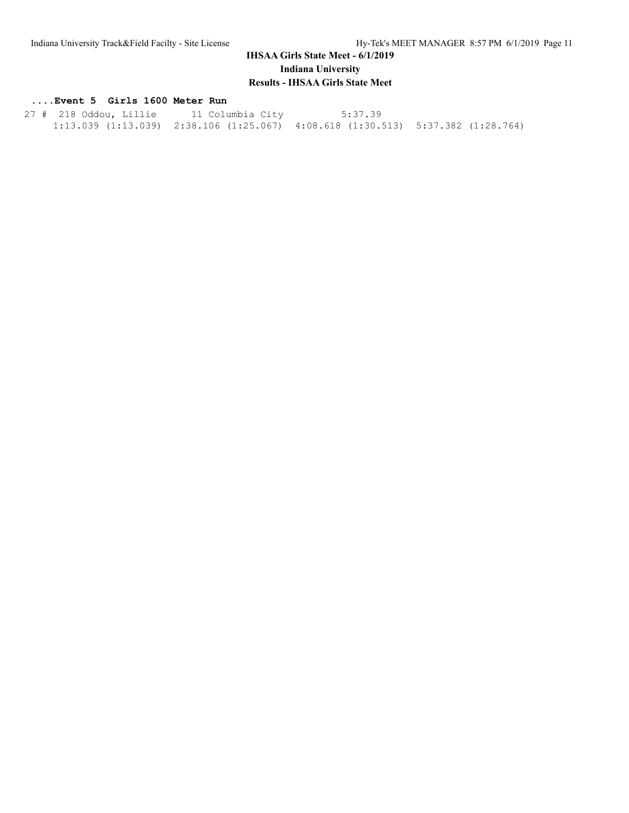### **....Event 5 Girls 1600 Meter Run**

 27 # 218 Oddou, Lillie 11 Columbia City 5:37.39 1:13.039 (1:13.039) 2:38.106 (1:25.067) 4:08.618 (1:30.513) 5:37.382 (1:28.764)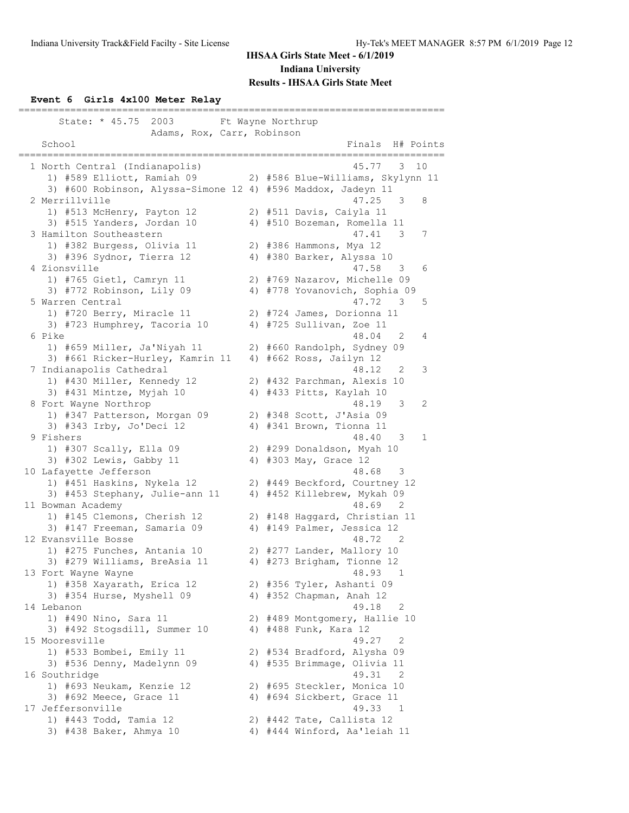#### **Event 6 Girls 4x100 Meter Relay**

| State: * 45.75<br>2003<br>Ft Wayne Northrup                  |    |                                       |             |
|--------------------------------------------------------------|----|---------------------------------------|-------------|
| Adams, Rox, Carr, Robinson<br>School                         |    | Finals<br>H# Points                   |             |
|                                                              |    |                                       |             |
| 1 North Central (Indianapolis)                               |    | 3<br>10<br>45.77                      |             |
| 1) #589 Elliott, Ramiah 09                                   |    | 2) #586 Blue-Williams, Skylynn 11     |             |
| 3) #600 Robinson, Alyssa-Simone 12 4) #596 Maddox, Jadeyn 11 |    |                                       |             |
| 2 Merrillville                                               |    | 47.25<br>3                            | 8           |
| 1) #513 McHenry, Payton 12                                   |    | 2) #511 Davis, Caiyla 11              |             |
| 3) #515 Yanders, Jordan 10                                   |    | 4) #510 Bozeman, Romella 11           |             |
| 3 Hamilton Southeastern                                      |    | 47.41<br>3                            | 7           |
| 1) #382 Burgess, Olivia 11                                   |    | 2) #386 Hammons, Mya 12               |             |
| 3) #396 Sydnor, Tierra 12                                    |    | 4) #380 Barker, Alyssa 10             |             |
| 4 Zionsville                                                 |    | 47.58<br>3                            | 6           |
| 1) #765 Gietl, Camryn 11                                     |    | 2) #769 Nazarov, Michelle 09          |             |
| 3) #772 Robinson, Lily 09                                    |    | 4) #778 Yovanovich, Sophia 09         |             |
| 5 Warren Central                                             |    | 47.72<br>-3                           | 5           |
| 1) #720 Berry, Miracle 11                                    |    | 2) #724 James, Dorionna 11            |             |
| 3) #723 Humphrey, Tacoria 10                                 |    | 4) #725 Sullivan, Zoe 11              |             |
| 6 Pike                                                       |    | 48.04<br>2                            | 4           |
| 1) #659 Miller, Ja'Niyah 11                                  |    | 2) #660 Randolph, Sydney 09           |             |
| 3) #661 Ricker-Hurley, Kamrin 11                             |    | 4) #662 Ross, Jailyn 12<br>48.12<br>2 | 3           |
| 7 Indianapolis Cathedral<br>1) #430 Miller, Kennedy 12       |    | 2) #432 Parchman, Alexis 10           |             |
| 3) #431 Mintze, Myjah 10                                     |    | 4) #433 Pitts, Kaylah 10              |             |
| 8 Fort Wayne Northrop                                        |    | 48.19<br>3                            | 2           |
| 1) #347 Patterson, Morgan 09                                 |    | 2) #348 Scott, J'Asia 09              |             |
| 3) #343 Irby, Jo'Deci 12                                     |    | 4) #341 Brown, Tionna 11              |             |
| 9 Fishers                                                    |    | 48.40<br>3                            | $\mathbf 1$ |
| 1) #307 Scally, Ella 09                                      |    | 2) #299 Donaldson, Myah 10            |             |
| 3) #302 Lewis, Gabby 11                                      |    | 4) #303 May, Grace 12                 |             |
| 10 Lafayette Jefferson                                       |    | 48.68<br>-3                           |             |
| 1) #451 Haskins, Nykela 12                                   |    | 2) #449 Beckford, Courtney 12         |             |
| 3) #453 Stephany, Julie-ann 11                               |    | 4) #452 Killebrew, Mykah 09           |             |
| 11 Bowman Academy                                            |    | 48.69<br>2                            |             |
| 1) #145 Clemons, Cherish 12                                  |    | 2) #148 Haggard, Christian 11         |             |
| 3) #147 Freeman, Samaria 09                                  |    | 4) #149 Palmer, Jessica 12            |             |
| 12 Evansville Bosse                                          |    | 48.72<br>$\overline{\phantom{0}}^2$   |             |
| 1) #275 Funches, Antania 10                                  |    | 2) #277 Lander, Mallory 10            |             |
| 3) #279 Williams, BreAsia 11                                 | 4) | #273 Brigham, Tionne 12               |             |
| 13 Fort Wayne Wayne                                          |    | 48.93<br>1                            |             |
| 1) #358 Xayarath, Erica 12                                   |    | 2) #356 Tyler, Ashanti 09             |             |
| 3) #354 Hurse, Myshell 09                                    |    | 4) #352 Chapman, Anah 12              |             |
| 14 Lebanon                                                   |    | 49.18<br>2                            |             |
| 1) #490 Nino, Sara 11                                        |    | 2) #489 Montgomery, Hallie 10         |             |
| 3) #492 Stogsdill, Summer 10                                 |    | 4) #488 Funk, Kara 12                 |             |
| 15 Mooresville                                               |    | 49.27<br>$\overline{\phantom{0}}^2$   |             |
| 1) #533 Bombei, Emily 11                                     |    | 2) #534 Bradford, Alysha 09           |             |
| 3) #536 Denny, Madelynn 09                                   |    | 4) #535 Brimmage, Olivia 11           |             |
| 16 Southridge                                                |    | 49.31<br>$\overline{\phantom{0}}^2$   |             |
| 1) #693 Neukam, Kenzie 12                                    |    | 2) #695 Steckler, Monica 10           |             |
| 3) #692 Meece, Grace 11<br>17 Jeffersonville                 |    | 4) #694 Sickbert, Grace 11<br>49.33 1 |             |
| 1) #443 Todd, Tamia 12                                       |    | 2) #442 Tate, Callista 12             |             |
| 3) #438 Baker, Ahmya 10                                      |    | 4) #444 Winford, Aa'leiah 11          |             |
|                                                              |    |                                       |             |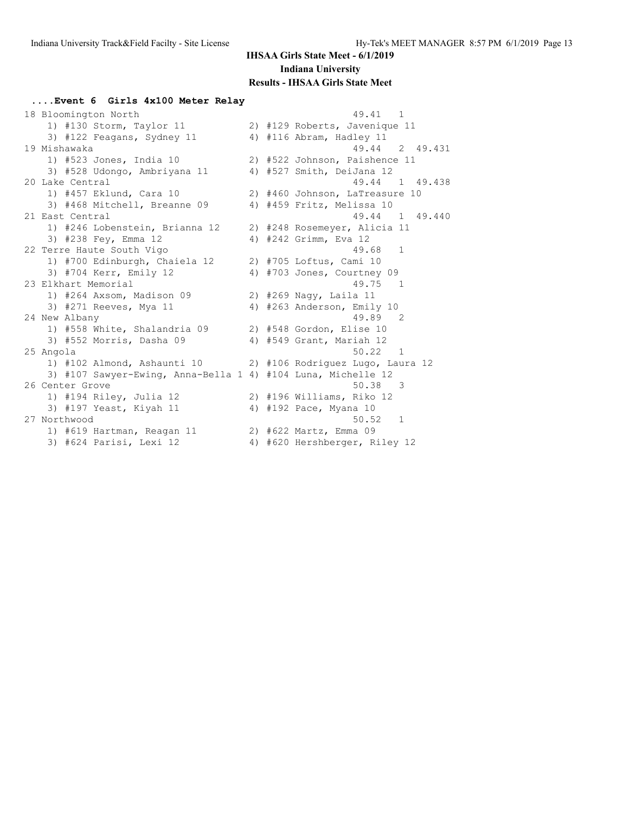### **....Event 6 Girls 4x100 Meter Relay**

| 18 Bloomington North                                         |  | 49.41 1                           |
|--------------------------------------------------------------|--|-----------------------------------|
| 1) #130 Storm, Taylor 11                                     |  | 2) #129 Roberts, Javenique 11     |
| 3) #122 Feagans, Sydney 11                                   |  | 4) #116 Abram, Hadley 11          |
| 19 Mishawaka                                                 |  | 49.44 2 49.431                    |
| 1) #523 Jones, India 10                                      |  | 2) #522 Johnson, Paishence 11     |
| 3) #528 Udongo, Ambriyana 11                                 |  | 4) #527 Smith, DeiJana 12         |
| 20 Lake Central                                              |  | 49.44 1 49.438                    |
| 1) #457 Eklund, Cara 10                                      |  | 2) #460 Johnson, LaTreasure 10    |
| 3) #468 Mitchell, Breanne 09                                 |  | 4) #459 Fritz, Melissa 10         |
| 21 East Central                                              |  | 49.44 1 49.440                    |
| 1) #246 Lobenstein, Brianna 12                               |  | 2) #248 Rosemeyer, Alicia 11      |
| 3) #238 Fey, Emma 12                                         |  | 4) #242 Grimm, Eva 12             |
| 22 Terre Haute South Vigo                                    |  | 49.68 1                           |
| 1) #700 Edinburgh, Chaiela 12                                |  | 2) #705 Loftus, Cami 10           |
| 3) #704 Kerr, Emily 12                                       |  | 4) #703 Jones, Courtney 09        |
| 23 Elkhart Memorial                                          |  | 49.75<br>$\sim$ 1                 |
| 1) #264 Axsom, Madison 09                                    |  | 2) #269 Naqy, Laila 11            |
| 3) #271 Reeves, Mya 11                                       |  | 4) #263 Anderson, Emily 10        |
| 24 New Albany                                                |  | 49.89 2                           |
| 1) #558 White, Shalandria 09                                 |  | 2) #548 Gordon, Elise 10          |
| 3) #552 Morris, Dasha 09                                     |  | 4) #549 Grant, Mariah 12          |
| 25 Angola                                                    |  | 50.22 1                           |
| 1) #102 Almond, Ashaunti 10                                  |  | 2) #106 Rodriguez Lugo, Laura 12  |
| 3) #107 Sawyer-Ewing, Anna-Bella 1 4) #104 Luna, Michelle 12 |  |                                   |
| 26 Center Grove                                              |  | 50.38<br>$\overline{\phantom{a}}$ |
| 1) #194 Riley, Julia 12                                      |  | 2) #196 Williams, Riko 12         |
| 3) #197 Yeast, Kiyah 11                                      |  | 4) #192 Pace, Myana 10            |
| 27 Northwood                                                 |  | 50.52 1                           |
| 1) #619 Hartman, Reagan 11                                   |  | 2) #622 Martz, Emma 09            |
| 3) #624 Parisi, Lexi 12                                      |  | 4) #620 Hershberger, Riley 12     |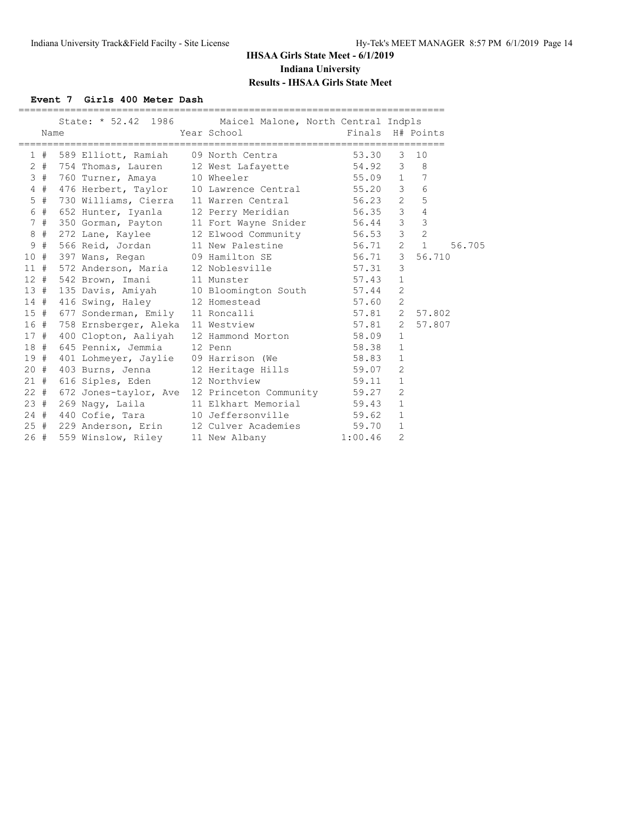**Event 7 Girls 400 Meter Dash**

|     | Name   |                           | State: * 52.42 1986 Maicel Malone, North Central Indpls<br>Year School States                  | Finals H# Points |                |                          |        |
|-----|--------|---------------------------|------------------------------------------------------------------------------------------------|------------------|----------------|--------------------------|--------|
|     |        |                           | 1 # 589 Elliott, Ramiah 09 North Centra 53.30                                                  |                  | 3              | 10                       |        |
|     |        |                           | 2 # 754 Thomas, Lauren 12 West Lafayette 54.92 3 8                                             |                  |                |                          |        |
|     |        | 3 # 760 Turner, Amaya     | 10 Wheeler                                                                                     | 55.09 1 7        |                |                          |        |
|     | 4#     | 476 Herbert, Taylor       | 10 Lawrence Central 55.20 3                                                                    |                  |                | $6\overline{6}$          |        |
|     | $5$ #  | 730 Williams, Cierra      | 11 Warren Central 56.23 2 5                                                                    |                  |                |                          |        |
|     |        | 6 # 652 Hunter, Iyanla    | 12 Perry Meridian 56.35 3 4                                                                    |                  |                |                          |        |
|     |        | 7 # 350 Gorman, Payton    | 11 Fort Wayne Snider 56.44 3 3                                                                 |                  |                |                          |        |
|     | 8#     | 272 Lane, Kaylee          | 12 Elwood Community 56.53 3                                                                    |                  |                | $\overline{\phantom{0}}$ |        |
|     | 9#     | 566 Reid, Jordan          | 11 New Palestine 56.71 2 1                                                                     |                  |                |                          | 56.705 |
|     |        |                           |                                                                                                |                  |                | 56.710                   |        |
|     |        |                           | 10 # 397 Wans, Regan 09 Hamilton SE 56.71 3<br>11 # 572 Anderson, Maria 12 Noblesville 57.31 3 |                  |                |                          |        |
|     |        | 12 # 542 Brown, Imani     | 11 Munster                                                                                     | 57.43            | $\mathbf{1}$   |                          |        |
|     |        |                           | 13 # 135 Davis, Amiyah 10 Bloomington South 57.44                                              |                  | 2              |                          |        |
|     |        |                           | 14 # 416 Swing, Haley 12 Homestead 57.60                                                       |                  | 2              |                          |        |
|     |        | 15 # 677 Sonderman, Emily | 11 Roncalli                                                                                    | $57.81$ 2        |                | 57.802                   |        |
|     | 16 #   | 758 Ernsberger, Aleka     | 11 Westview 57.81 2                                                                            |                  |                | 57.807                   |        |
|     |        | 17 # 400 Clopton, Aaliyah | 12 Hammond Morton 58.09                                                                        |                  | $\mathbf{1}$   |                          |        |
|     |        | 18 # 645 Pennix, Jemmia   | 12 Penn                                                                                        | 58.38            | $\mathbf{1}$   |                          |        |
|     |        |                           | 19 # 401 Lohmeyer, Jaylie 09 Harrison (We 58.83                                                |                  | $\mathbf{1}$   |                          |        |
|     | $20 +$ | 403 Burns, Jenna          |                                                                                                |                  | $\overline{2}$ |                          |        |
|     |        | 21 # 616 Siples, Eden     | 12 Heritage Hills 59.07<br>12 Northview 59.11                                                  |                  | $\mathbf{1}$   |                          |        |
|     |        |                           | 22 # 672 Jones-taylor, Ave 12 Princeton Community 59.27                                        |                  | 2              |                          |        |
|     | 23#    | 269 Nagy, Laila           | 11 Elkhart Memorial 59.43                                                                      |                  | $\mathbf{1}$   |                          |        |
|     |        | 24 # 440 Cofie, Tara      | 10 Jeffersonville 59.62                                                                        |                  | $\mathbf{1}$   |                          |        |
|     |        | 25 # 229 Anderson, Erin   | 12 Culver Academies 59.70                                                                      |                  | $\mathbf{1}$   |                          |        |
| 26# |        | 559 Winslow, Riley        | 11 New Albany                                                                                  | 1:00.46          | $\overline{2}$ |                          |        |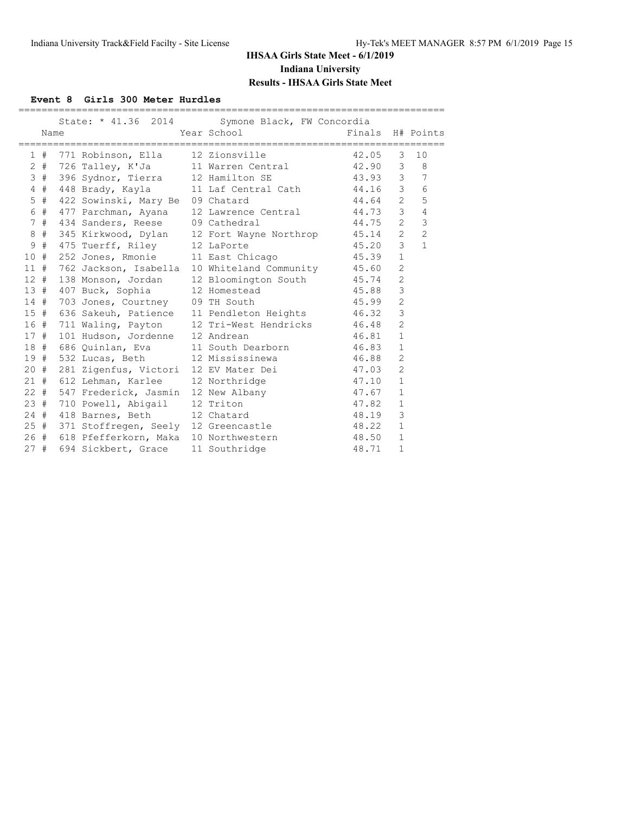### **Event 8 Girls 300 Meter Hurdles**

|     |      |                                 | State: * 41.36 2014 Symone Black, FW Concordia                                                     |                  |                |                |
|-----|------|---------------------------------|----------------------------------------------------------------------------------------------------|------------------|----------------|----------------|
|     | Name |                                 | Year School and the Marian School                                                                  | Finals H# Points |                |                |
|     |      |                                 |                                                                                                    |                  |                |                |
|     |      |                                 | 1 # 771 Robinson, Ella 12 Zionsville 42.05                                                         |                  | $\mathcal{B}$  | 10             |
|     |      |                                 |                                                                                                    |                  |                |                |
|     |      |                                 | 3 # 396 Sydnor, Tierra 12 Hamilton SE 43.93 3 7                                                    |                  |                |                |
|     |      |                                 | 4 # 448 Brady, Kayla 11 Laf Central Cath 44.16 3                                                   |                  |                | 6              |
|     | 5#   |                                 | 422 Sowinski, Mary Be 09 Chatard 44.64 2                                                           |                  |                | 5              |
|     |      |                                 | 6 # 477 Parchman, Ayana 12 Lawrence Central 44.73 3                                                |                  |                | $\overline{4}$ |
|     | 7#   | 434 Sanders, Reese 09 Cathedral |                                                                                                    | 44.75 2          |                | $\mathfrak{Z}$ |
| 8   |      |                                 | # 345 Kirkwood, Dylan 12 Fort Wayne Northrop 45.14 2                                               |                  |                | $\overline{c}$ |
| 9   | #    | 475 Tuerff, Riley 12 LaPorte    |                                                                                                    | $45.20$ 3        |                | $\mathbf{1}$   |
| 10# |      |                                 | 252 Jones, Rmonie 11 East Chicago (45.39)                                                          |                  | $\mathbf{1}$   |                |
|     |      |                                 | 11 # 762 Jackson, Isabella 10 Whiteland Community 45.60                                            |                  | 2              |                |
|     |      |                                 | 12 # 138 Monson, Jordan 12 Bloomington South 45.74 2                                               |                  |                |                |
|     |      |                                 | 13 # 407 Buck, Sophia 12 Homestead 45.88 3                                                         |                  |                |                |
|     | 14#  | 703 Jones, Courtney 09 TH South |                                                                                                    | 45.99            | $\overline{c}$ |                |
|     | 15#  |                                 | 636 Sakeuh, Patience 11 Pendleton Heights 46.32                                                    |                  | 3              |                |
|     |      |                                 | 16 # 711 Waling, Payton 12 Tri-West Hendricks 46.48                                                |                  | $\overline{2}$ |                |
|     | 17#  | 101 Hudson, Jordenne 12 Andrean |                                                                                                    | 46.81 1          |                |                |
|     |      |                                 | 18 # 686 Quinlan, Eva 11 South Dearborn 46.83 1                                                    |                  |                |                |
|     | 19 # |                                 | 532 Lucas, Beth 12 Mississinewa 46.88                                                              |                  | $\overline{2}$ |                |
|     | 20 # |                                 | 281 Zigenfus, Victori 12 EV Mater Dei 47.03                                                        |                  | $\overline{2}$ |                |
|     | 21#  |                                 | 612 Lehman, Karlee 12 Northridge 47.10                                                             |                  | $\mathbf{1}$   |                |
|     |      |                                 | 22 # 547 Frederick, Jasmin 12 New Albany 1 47.67 1<br>23 # 710 Powell. Abigail 12 Triton 1 47.82 1 |                  |                |                |
|     |      |                                 |                                                                                                    |                  |                |                |
|     | 24#  | 418 Barnes, Beth 12 Chatard     |                                                                                                    | 48.19            | 3              |                |
|     |      |                                 | 25 # 371 Stoffregen, Seely 12 Greencastle 48.22 1                                                  |                  |                |                |
|     |      |                                 | 26 # 618 Pfefferkorn, Maka 10 Northwestern 48.50                                                   |                  | $\mathbf{1}$   |                |
| 27# |      | 694 Sickbert, Grace             | 11 Southridge                                                                                      | 48.71            | $\mathbf{1}$   |                |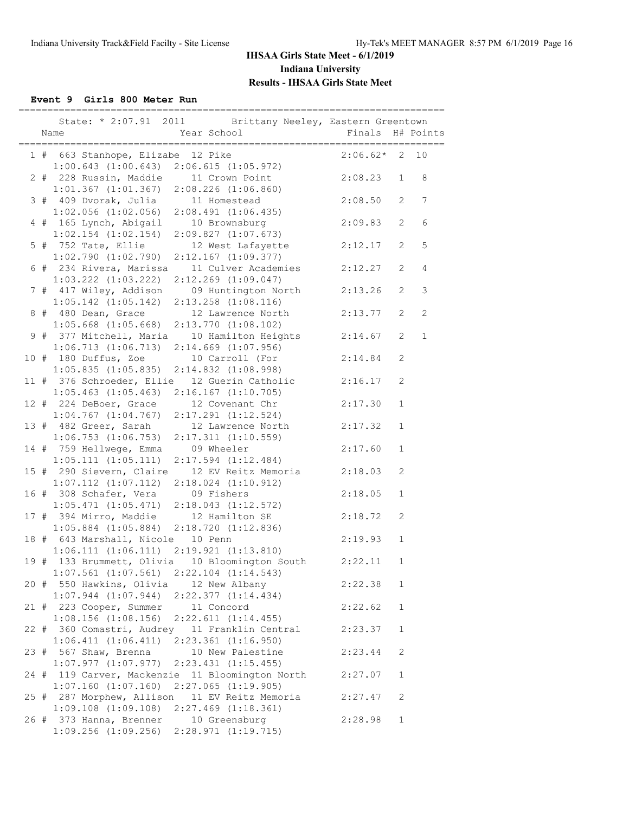**Event 9 Girls 800 Meter Run**

|      | State: * 2:07.91 2011 Brittany Neeley, Eastern Greentown<br>Year School<br>Name<br>_________________________                                  | Finals             |              | H# Points         |
|------|-----------------------------------------------------------------------------------------------------------------------------------------------|--------------------|--------------|-------------------|
|      | 1 # 663 Stanhope, Elizabe 12 Pike<br>$1:00.643$ (1:00.643) 2:06.615 (1:05.972)<br>228 Bussin X VI                                             | $2:06.62*$ 2 10    |              |                   |
|      | 2 # 228 Russin, Maddie 11 Crown Point<br>$1:01.367$ $(1:01.367)$ $2:08.226$ $(1:06.860)$                                                      | 2:08.23            | $\mathbf{1}$ | 8                 |
|      | 3 # 409 Dvorak, Julia<br>11 Homestead<br>$1:02.056$ $(1:02.056)$ $2:08.491$ $(1:06.435)$                                                      | 2:08.50            | 2            | 7                 |
|      | 4 # 165 Lynch, Abigail 10 Brownsburg<br>$1:02.154$ $(1:02.154)$<br>2:09.827(1:07.673)                                                         | 2:09.83            | 2            | 6                 |
|      | 5 # 752 Tate, Ellie<br>12 West Lafayette<br>$1:02.790$ $(1:02.790)$<br>$2:12.167$ $(1:09.377)$                                                | 2:12.17            | 2            | 5                 |
|      | 6 # 234 Rivera, Marissa<br>11 Culver Academies<br>$1:03.222$ $(1:03.222)$<br>$2:12.269$ $(1:09.047)$                                          | 2:12.27            | 2            | $\overline{4}$    |
|      | 7 # 417 Wiley, Addison 09 Huntington North<br>$1:05.142$ $(1:05.142)$<br>2:13.258 (1:08.116)                                                  | 2:13.26            | 2            | 3                 |
|      | 8 # 480 Dean, Grace<br>12 Lawrence North<br>$1:05.668$ $(1:05.668)$<br>$2:13.770$ $(1:08.102)$<br>9 # 377 Mitchell, Maria 10 Hamilton Heights | 2:13.77<br>2:14.67 | 2<br>2       | 2<br>$\mathbf{1}$ |
|      | 1:06.713(1:06.713)<br>$2:14.669$ $(1:07.956)$<br>10 # 180 Duffus, Zoe 10 Carroll (For                                                         | 2:14.84            | 2            |                   |
|      | $1:05.835$ $(1:05.835)$<br>$2:14.832$ $(1:08.998)$<br>11 # 376 Schroeder, Ellie 12 Guerin Catholic                                            | 2:16.17            | 2            |                   |
|      | $1:05.463$ $(1:05.463)$ $2:16.167$ $(1:10.705)$<br>12 # 224 DeBoer, Grace<br>12 Covenant Chr                                                  | 2:17.30            | $\mathbf{1}$ |                   |
|      | $1:04.767$ $(1:04.767)$<br>$2:17.291$ $(1:12.524)$<br>13 # 482 Greer, Sarah 12 Lawrence North                                                 | 2:17.32            | $\mathbf{1}$ |                   |
|      | $1:06.753$ $(1:06.753)$<br>$2:17.311$ $(1:10.559)$<br>14 # 759 Hellwege, Emma 09 Wheeler                                                      | 2:17.60            | $\mathbf{1}$ |                   |
|      | 1:05.111(1:05.111)<br>$2:17.594$ $(1:12.484)$<br>15 # 290 Sievern, Claire<br>12 EV Reitz Memoria                                              | 2:18.03            | 2            |                   |
|      | $1:07.112$ $(1:07.112)$<br>$2:18.024$ $(1:10.912)$<br>16 # 308 Schafer, Vera 09 Fishers<br>$1:05.471$ $(1:05.471)$ $2:18.043$ $(1:12.572)$    | 2:18.05            | $\mathbf 1$  |                   |
|      | 17 # 394 Mirro, Maddie 12 Hamilton SE<br>$1:05.884$ $(1:05.884)$ $2:18.720$ $(1:12.836)$                                                      | 2:18.72            | 2            |                   |
|      | 18 # 643 Marshall, Nicole 10 Penn<br>$1:06.111$ $(1:06.111)$ $2:19.921$ $(1:13.810)$                                                          | 2:19.93            | $\mathbf{1}$ |                   |
| 19 # | 133 Brummett, Olivia 10 Bloomington South<br>$1:07.561$ $(1:07.561)$<br>$2:22.104$ $(1:14.543)$                                               | 2:22.11            | 1            |                   |
|      | 20 # 550 Hawkins, Olivia<br>12 New Albany<br>$1:07.944$ $(1:07.944)$<br>2:22.377 (1:14.434)                                                   | 2:22.38            | 1            |                   |
|      | 21 # 223 Cooper, Summer<br>11 Concord<br>$1:08.156$ $(1:08.156)$<br>2:22.611(1:14.455)                                                        | 2:22.62            | $\mathbf 1$  |                   |
|      | 22 # 360 Comastri, Audrey<br>11 Franklin Central<br>1:06.411(1:06.411)<br>$2:23.361$ $(1:16.950)$                                             | 2:23.37            | $\mathbf 1$  |                   |
| 23 # | 567 Shaw, Brenna<br>10 New Palestine<br>$1:07.977$ $(1:07.977)$<br>$2:23.431$ $(1:15.455)$                                                    | 2:23.44            | 2            |                   |
| 24 # | 119 Carver, Mackenzie 11 Bloomington North<br>$1:07.160$ $(1:07.160)$<br>$2:27.065$ $(1:19.905)$                                              | 2:27.07            | $\mathbf{1}$ |                   |
|      | 25 # 287 Morphew, Allison<br>11 EV Reitz Memoria<br>$1:09.108$ $(1:09.108)$<br>$2:27.469$ $(1:18.361)$                                        | 2:27.47            | 2            |                   |
|      | 26 # 373 Hanna, Brenner<br>10 Greensburg<br>$1:09.256$ $(1:09.256)$<br>2:28.971 (1:19.715)                                                    | 2:28.98            | $\mathbf 1$  |                   |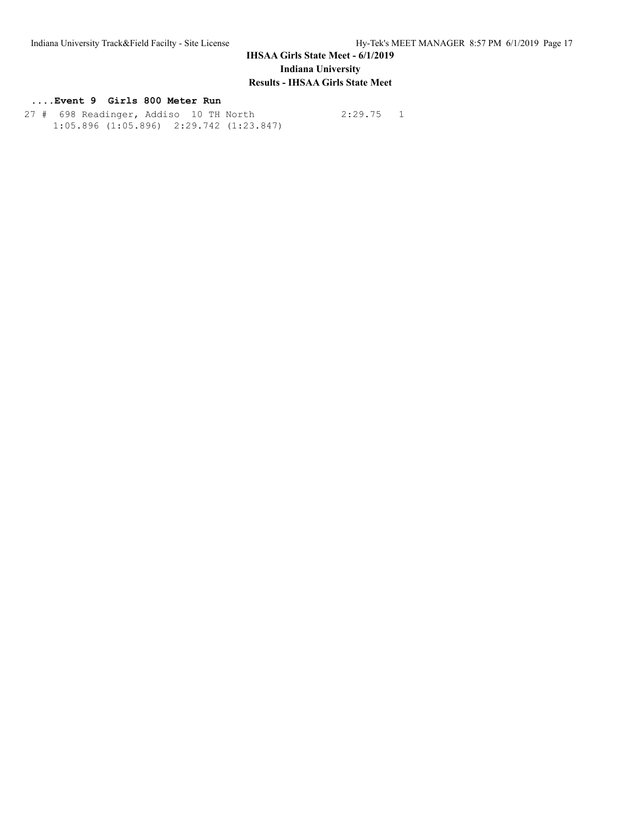### **....Event 9 Girls 800 Meter Run**

 27 # 698 Readinger, Addiso 10 TH North 2:29.75 1 1:05.896 (1:05.896) 2:29.742 (1:23.847)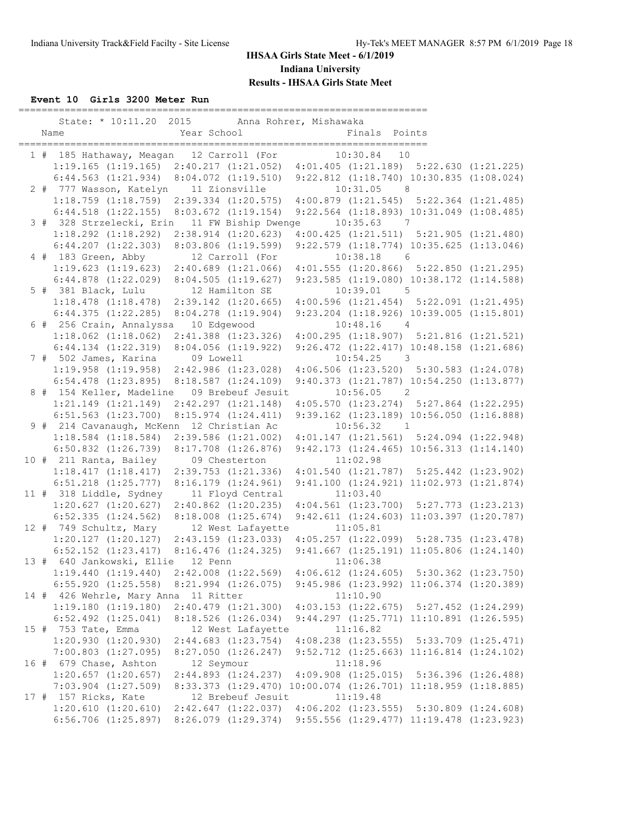**Event 10 Girls 3200 Meter Run**

|  | Name                                            | Year School | State: * 10:11.20 2015 Anna Rohrer, Mishawaka   | Finals Points |                                                                                             |  |
|--|-------------------------------------------------|-------------|-------------------------------------------------|---------------|---------------------------------------------------------------------------------------------|--|
|  |                                                 |             |                                                 |               |                                                                                             |  |
|  |                                                 |             | 1 # 185 Hathaway, Meagan 12 Carroll (For        | $10:30.84$ 10 |                                                                                             |  |
|  |                                                 |             |                                                 |               | $1:19.165$ (1:19.165) $2:40.217$ (1:21.052) $4:01.405$ (1:21.189) $5:22.630$ (1:21.225)     |  |
|  |                                                 |             | $6:44.563$ $(1:21.934)$ $8:04.072$ $(1:19.510)$ |               | 9:22.812 (1:18.740) 10:30.835 (1:08.024)                                                    |  |
|  | 2 # 777 Wasson, Katelyn 11 Zionsville           |             |                                                 | 10:31.05 8    |                                                                                             |  |
|  |                                                 |             | $1:18.759$ $(1:18.759)$ $2:39.334$ $(1:20.575)$ |               | $4:00.879$ $(1:21.545)$ $5:22.364$ $(1:21.485)$                                             |  |
|  |                                                 |             | $6:44.518$ $(1:22.155)$ $8:03.672$ $(1:19.154)$ |               | 9:22.564 (1:18.893) 10:31.049 (1:08.485)                                                    |  |
|  |                                                 |             | 3 # 328 Strzelecki, Erin 11 FW Biship Dwenge    | $10:35.63$ 7  |                                                                                             |  |
|  | $1:18.292$ $(1:18.292)$ $2:38.914$ $(1:20.623)$ |             |                                                 |               | $4:00.425$ $(1:21.511)$ $5:21.905$ $(1:21.480)$                                             |  |
|  | $6:44.207$ $(1:22.303)$                         |             | $8:03.806$ $(1:19.599)$                         |               | 9:22.579 (1:18.774) 10:35.625 (1:13.046)                                                    |  |
|  | 4 # 183 Green, Abby                             |             | 12 Carroll (For                                 | 10:38.18      | $6\overline{6}$                                                                             |  |
|  | 1:19.623(1:19.623)                              |             | $2:40.689$ $(1:21.066)$                         |               | $4:01.555$ $(1:20.866)$ $5:22.850$ $(1:21.295)$                                             |  |
|  | $6:44.878$ $(1:22.029)$                         |             | 8:04.505(1:19.627)                              |               | 9:23.585 (1:19.080) 10:38.172 (1:14.588)                                                    |  |
|  | 5 # 381 Black, Lulu                             |             | 12 Hamilton SE<br>$2:39.142$ $(1:20.665)$       | $10:39.01$ 5  |                                                                                             |  |
|  | $1:18.478$ $(1:18.478)$                         |             |                                                 |               | $4:00.596$ $(1:21.454)$ $5:22.091$ $(1:21.495)$<br>9:23.204 (1:18.926) 10:39.005 (1:15.801) |  |
|  | 6:44.375(1:22.285)<br>6 # 256 Crain, Annalyssa  |             | $8:04.278$ $(1:19.904)$                         | $10:48.16$ 4  |                                                                                             |  |
|  | $1:18.062$ $(1:18.062)$                         | 10 Edgewood | $2:41.388$ $(1:23.326)$                         |               | $4:00.295$ $(1:18.907)$ $5:21.816$ $(1:21.521)$                                             |  |
|  | $6:44.134$ $(1:22.319)$                         |             | $8:04.056$ $(1:19.922)$                         |               | 9:26.472 (1:22.417) 10:48.158 (1:21.686)                                                    |  |
|  | 7 # 502 James, Karina                           | 09 Lowell   |                                                 | $10:54.25$ 3  |                                                                                             |  |
|  | $1:19.958$ $(1:19.958)$                         |             | $2:42.986$ $(1:23.028)$                         |               | $4:06.506$ $(1:23.520)$ $5:30.583$ $(1:24.078)$                                             |  |
|  | $6:54.478$ $(1:23.895)$                         |             | 8:18.587(1:24.109)                              |               | 9:40.373 (1:21.787) 10:54.250 (1:13.877)                                                    |  |
|  | 8 # 154 Keller, Madeline                        |             | 09 Brebeuf Jesuit                               | 10:56.05      | $\overline{\phantom{a}}$                                                                    |  |
|  | $1:21.149$ $(1:21.149)$                         |             | $2:42.297$ $(1:21.148)$                         |               | $4:05.570$ $(1:23.274)$ $5:27.864$ $(1:22.295)$                                             |  |
|  | $6:51.563$ $(1:23.700)$                         |             | $8:15.974$ $(1:24.411)$                         |               | 9:39.162 (1:23.189) 10:56.050 (1:16.888)                                                    |  |
|  | 9 # 214 Cavanaugh, McKenn 12 Christian Ac       |             |                                                 | 10:56.32 1    |                                                                                             |  |
|  | $1:18.584$ $(1:18.584)$                         |             | $2:39.586$ $(1:21.002)$                         |               | $4:01.147$ $(1:21.561)$ $5:24.094$ $(1:22.948)$                                             |  |
|  | $6:50.832$ $(1:26.739)$                         |             | $8:17.708$ $(1:26.876)$                         |               | $9:42.173$ $(1:24.465)$ $10:56.313$ $(1:14.140)$                                            |  |
|  | 10 # 211 Ranta, Bailey                          |             | 09 Chesterton                                   | 11:02.98      |                                                                                             |  |
|  | $1:18.417$ $(1:18.417)$ $2:39.753$ $(1:21.336)$ |             |                                                 |               | $4:01.540$ $(1:21.787)$ $5:25.442$ $(1:23.902)$                                             |  |
|  | $6:51.218$ $(1:25.777)$                         |             | 8:16.179(1:24.961)                              |               | 9:41.100 (1:24.921) 11:02.973 (1:21.874)                                                    |  |
|  | 11 # 318 Liddle, Sydney                         |             | 11 Floyd Central                                | 11:03.40      |                                                                                             |  |
|  | $1:20.627$ $(1:20.627)$                         |             | $2:40.862$ $(1:20.235)$                         |               | $4:04.561$ $(1:23.700)$ $5:27.773$ $(1:23.213)$                                             |  |
|  |                                                 |             | $6:52.335$ $(1:24.562)$ $8:18.008$ $(1:25.674)$ |               | 9:42.611 (1:24.603) 11:03.397 (1:20.787)                                                    |  |
|  | 12 # 749 Schultz, Mary                          |             | 12 West Lafayette                               | 11:05.81      |                                                                                             |  |
|  |                                                 |             | $1:20.127$ $(1:20.127)$ $2:43.159$ $(1:23.033)$ |               | $4:05.257$ $(1:22.099)$ $5:28.735$ $(1:23.478)$                                             |  |
|  |                                                 |             | $6:52.152$ $(1:23.417)$ $8:16.476$ $(1:24.325)$ |               | $9:41.667$ $(1:25.191)$ $11:05.806$ $(1:24.140)$                                            |  |
|  | 13 # 640 Jankowski, Ellie 12 Penn               |             |                                                 | 11:06.38      |                                                                                             |  |
|  | $1:19.440$ $(1:19.440)$ $2:42.008$ $(1:22.569)$ |             |                                                 |               | $4:06.612$ $(1:24.605)$ $5:30.362$ $(1:23.750)$                                             |  |
|  | $6:55.920$ $(1:25.558)$                         |             | $8:21.994$ $(1:26.075)$                         |               | $9:45.986$ $(1:23.992)$ $11:06.374$ $(1:20.389)$                                            |  |
|  | 14 # 426 Wehrle, Mary Anna 11 Ritter            |             |                                                 | 11:10.90      |                                                                                             |  |
|  | $1:19.180$ $(1:19.180)$                         |             | $2:40.479$ $(1:21.300)$                         |               | $4:03.153$ $(1:22.675)$ $5:27.452$ $(1:24.299)$                                             |  |
|  | $6:52.492$ $(1:25.041)$                         |             | $8:18.526$ $(1:26.034)$                         |               | $9:44.297$ $(1:25.771)$ $11:10.891$ $(1:26.595)$                                            |  |
|  | 15 # 753 Tate, Emma                             |             | 12 West Lafayette                               | 11:16.82      |                                                                                             |  |
|  | 1:20.930(1:20.930)                              |             | 2:44.683(1:23.754)                              |               | 4:08.238 (1:23.555) 5:33.709 (1:25.471)                                                     |  |
|  | $7:00.803$ $(1:27.095)$                         |             | 8:27.050(1:26.247)                              |               | $9:52.712$ $(1:25.663)$ $11:16.814$ $(1:24.102)$                                            |  |
|  | 16 # 679 Chase, Ashton                          | 12 Seymour  |                                                 | 11:18.96      |                                                                                             |  |
|  | $1:20.657$ $(1:20.657)$                         |             | 2:44.893 (1:24.237)                             |               | $4:09.908$ $(1:25.015)$ $5:36.396$ $(1:26.488)$                                             |  |
|  | $7:03.904$ $(1:27.509)$                         |             |                                                 |               | 8:33.373 (1:29.470) 10:00.074 (1:26.701) 11:18.959 (1:18.885)                               |  |
|  | 17 # 157 Ricks, Kate                            |             | 12 Brebeuf Jesuit                               | 11:19.48      |                                                                                             |  |
|  | 1:20.610(1:20.610)                              |             | $2:42.647$ $(1:22.037)$                         |               | $4:06.202$ $(1:23.555)$ $5:30.809$ $(1:24.608)$                                             |  |
|  | $6:56.706$ $(1:25.897)$                         |             | $8:26.079$ $(1:29.374)$                         |               | 9:55.556 (1:29.477) 11:19.478 (1:23.923)                                                    |  |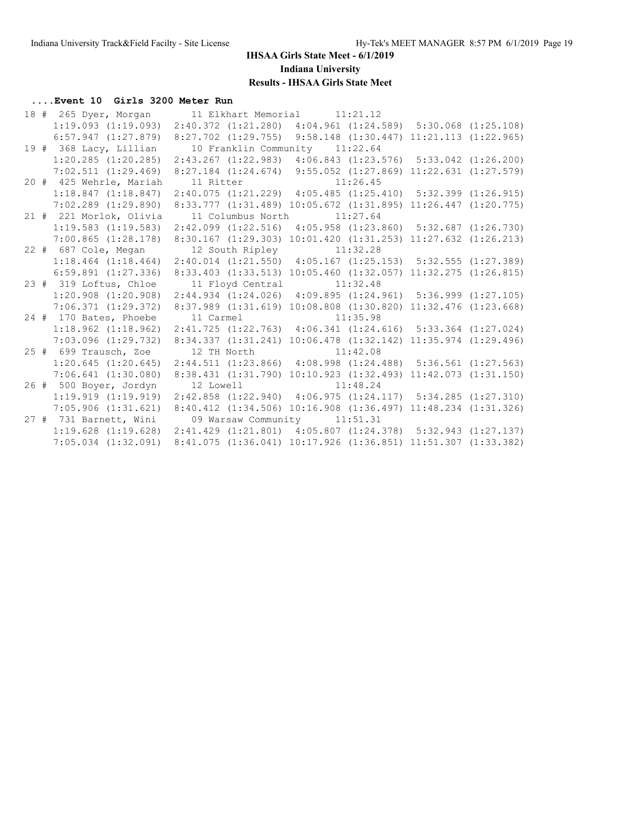### **....Event 10 Girls 3200 Meter Run**

|  | 18 # 265 Dyer, Morgan 11 Elkhart Memorial 11:21.12                                               |                                                                                                                                          |  |  |
|--|--------------------------------------------------------------------------------------------------|------------------------------------------------------------------------------------------------------------------------------------------|--|--|
|  | 1:19.093 (1:19.093) 2:40.372 (1:21.280) 4:04.961 (1:24.589) 5:30.068 (1:25.108)                  |                                                                                                                                          |  |  |
|  | $6:57.947$ $(1:27.879)$ $8:27.702$ $(1:29.755)$ $9:58.148$ $(1:30.447)$ $11:21.113$ $(1:22.965)$ |                                                                                                                                          |  |  |
|  | 19 # 368 Lacy, Lillian                                                                           | 10 Franklin Community 11:22.64                                                                                                           |  |  |
|  | $1:20.285$ $(1:20.285)$                                                                          | 2:43.267 (1:22.983) 4:06.843 (1:23.576) 5:33.042 (1:26.200)                                                                              |  |  |
|  | 7:02.511(1:29.469)                                                                               | 8:27.184 (1:24.674) 9:55.052 (1:27.869) 11:22.631 (1:27.579)                                                                             |  |  |
|  | 20 # 425 Wehrle, Mariah                                                                          | 11 Ritter 11:26.45                                                                                                                       |  |  |
|  | $1:18.847$ $(1:18.847)$                                                                          | $2:40.075$ (1:21.229) $4:05.485$ (1:25.410) $5:32.399$ (1:26.915)                                                                        |  |  |
|  | $7:02.289$ $(1:29.890)$                                                                          | 8:33.777 (1:31.489) 10:05.672 (1:31.895) 11:26.447 (1:20.775)                                                                            |  |  |
|  | 21 # 221 Morlok, Olivia                                                                          | 11 Columbus North 11:27.64                                                                                                               |  |  |
|  | $1:19.583$ $(1:19.583)$                                                                          | 2:42.099 (1:22.516) 4:05.958 (1:23.860) 5:32.687 (1:26.730)                                                                              |  |  |
|  | $7:00.865$ $(1:28.178)$                                                                          | 8:30.167 (1:29.303) 10:01.420 (1:31.253) 11:27.632 (1:26.213)                                                                            |  |  |
|  | 22 # 687 Cole, Megan 12 South Ripley 11:32.28                                                    |                                                                                                                                          |  |  |
|  | 1:18.464 (1:18.464) 2:40.014 (1:21.550) 4:05.167 (1:25.153) 5:32.555 (1:27.389)                  |                                                                                                                                          |  |  |
|  | $6:59.891$ $(1:27.336)$                                                                          | 8:33.403 (1:33.513) 10:05.460 (1:32.057) 11:32.275 (1:26.815)                                                                            |  |  |
|  |                                                                                                  |                                                                                                                                          |  |  |
|  | 23 # 319 Loftus, Chloe                                                                           | 11 Floyd Central 11:32.48                                                                                                                |  |  |
|  | $1:20.908$ $(1:20.908)$                                                                          | $2:44.934$ (1:24.026) 4:09.895 (1:24.961) 5:36.999 (1:27.105)                                                                            |  |  |
|  | 7:06.371(1:29.372)                                                                               | 8:37.989 (1:31.619) 10:08.808 (1:30.820) 11:32.476 (1:23.668)                                                                            |  |  |
|  | 24 # 170 Bates, Phoebe                                                                           | 11 Carmel 11:35.98                                                                                                                       |  |  |
|  | $1:18.962$ $(1:18.962)$                                                                          | $2:41.725$ $(1:22.763)$ $4:06.341$ $(1:24.616)$ $5:33.364$ $(1:27.024)$                                                                  |  |  |
|  | 7:03.096 (1:29.732)                                                                              | 8:34.337 (1:31.241) 10:06.478 (1:32.142) 11:35.974 (1:29.496)                                                                            |  |  |
|  | 25 # 699 Trausch, Zoe 12 TH North 11:42.08                                                       |                                                                                                                                          |  |  |
|  | $1:20.645$ $(1:20.645)$                                                                          | 2:44.511 (1:23.866) 4:08.998 (1:24.488) 5:36.561 (1:27.563)                                                                              |  |  |
|  | $7:06.641$ $(1:30.080)$                                                                          | 8:38.431 (1:31.790) 10:10.923 (1:32.493) 11:42.073 (1:31.150)                                                                            |  |  |
|  | 26 # 500 Boyer, Jordyn                                                                           | 12 Lowell 11:48.24                                                                                                                       |  |  |
|  | 1:19.919(1:19.919)                                                                               | 2:42.858 (1:22.940) 4:06.975 (1:24.117) 5:34.285 (1:27.310)                                                                              |  |  |
|  | $7:05.906$ $(1:31.621)$                                                                          | 8:40.412 (1:34.506) 10:16.908 (1:36.497) 11:48.234 (1:31.326)                                                                            |  |  |
|  | 27 # 731 Barnett, Wini                                                                           | 09 Warsaw Community 11:51.31                                                                                                             |  |  |
|  | $1:19.628$ $(1:19.628)$                                                                          | $2:41.429$ $(1:21.801)$ $4:05.807$ $(1:24.378)$ $5:32.943$ $(1:27.137)$<br>8:41.075 (1:36.041) 10:17.926 (1:36.851) 11:51.307 (1:33.382) |  |  |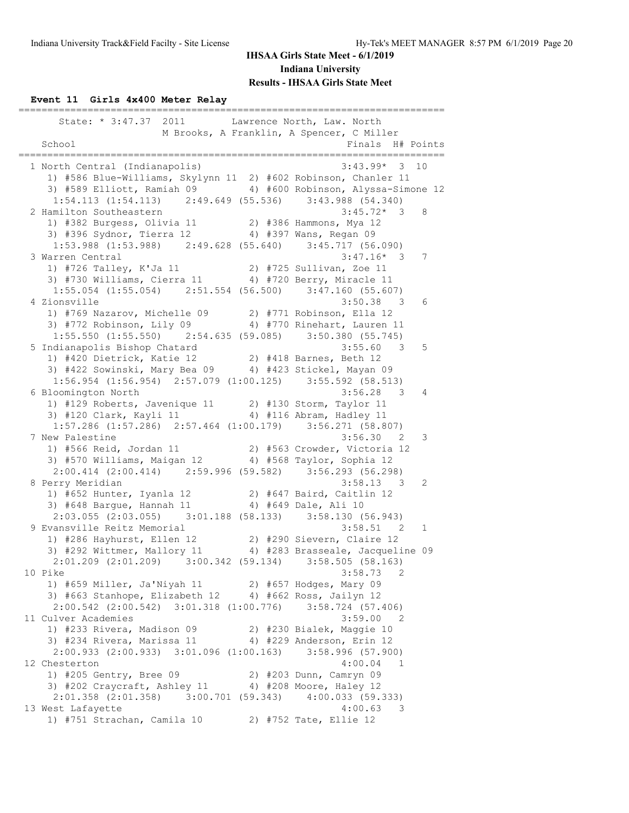### **Event 11 Girls 4x400 Meter Relay**

| State: * 3:47.37 2011 Lawrence North, Law. North                                                                                                     |                                     |    |
|------------------------------------------------------------------------------------------------------------------------------------------------------|-------------------------------------|----|
| M Brooks, A Franklin, A Spencer, C Miller<br>School                                                                                                  | Finals H# Points                    |    |
|                                                                                                                                                      |                                     |    |
| 1 North Central (Indianapolis)                                                                                                                       | $3:43.99*$ 3                        | 10 |
| 1) #586 Blue-Williams, Skylynn 11 2) #602 Robinson, Chanler 11                                                                                       |                                     |    |
| 3) #589 Elliott, Ramiah 09 4) #600 Robinson, Alyssa-Simone 12                                                                                        |                                     |    |
| 1:54.113 (1:54.113) 2:49.649 (55.536) 3:43.988 (54.340)                                                                                              |                                     |    |
| 2 Hamilton Southeastern                                                                                                                              | $3:45.72*$ 3 8                      |    |
| 1) #382 Burgess, Olivia 11 2) #386 Hammons, Mya 12<br>3) #396 Sydnor, Tierra 12 4) #397 Wans, Regan 09                                               |                                     |    |
|                                                                                                                                                      |                                     |    |
| 1:53.988 (1:53.988) 2:49.628 (55.640) 3:45.717 (56.090)                                                                                              |                                     |    |
| 3 Warren Central                                                                                                                                     | $3:47.16*$ 3                        | 7  |
| 1) #726 Talley, K'Ja 11 $2$ ) #725 Sullivan, Zoe 11                                                                                                  |                                     |    |
| 3) #730 Williams, Cierra 11 4) #720 Berry, Miracle 11                                                                                                |                                     |    |
| 1:55.054 (1:55.054) 2:51.554 (56.500) 3:47.160 (55.607)                                                                                              |                                     |    |
| 4 Zionsville<br>1) #769 Nazarov, Michelle 09 2) #771 Robinson, Ella 12                                                                               | $3:50.38$ 3                         | 6  |
| 3) #772 Robinson, Lily 09 4) #770 Rinehart, Lauren 11                                                                                                |                                     |    |
| $1:55.550$ (1:55.550) $2:54.635$ (59.085) $3:50.380$ (55.745)                                                                                        |                                     |    |
| 5 Indianapolis Bishop Chatard                                                                                                                        | $3:55.60$ 3 5                       |    |
| ndianapolis Bishop Chatard (1998)<br>1) #420 Dietrick, Katie 12 (2) #418 Barnes, Beth 12<br>3) #422 Sowinski, Mary Bea 09 (4) #423 Stickel, Mayan 09 |                                     |    |
|                                                                                                                                                      |                                     |    |
| $1:56.954$ (1:56.954) $2:57.079$ (1:00.125) 3:55.592 (58.513)                                                                                        |                                     |    |
| 6 Bloomington North                                                                                                                                  | $3:56.28$ 3                         | 4  |
| 1) #129 Roberts, Javenique 11 2) #130 Storm, Taylor 11                                                                                               |                                     |    |
| 3) #120 Clark, Kayli 11 4) #116 Abram, Hadley 11                                                                                                     |                                     |    |
| $1:57.286$ (1:57.286) $2:57.464$ (1:00.179) $3:56.271$ (58.807)                                                                                      |                                     |    |
| 7 New Palestine                                                                                                                                      | $3:56.30$ 2                         | 3  |
| 1) #566 Reid, Jordan 11                                                                                                                              | 2) #563 Crowder, Victoria 12        |    |
| 3) #570 Williams, Maigan 12 4) #568 Taylor, Sophia 12                                                                                                |                                     |    |
| $2:00.414$ (2:00.414) $2:59.996$ (59.582) $3:56.293$ (56.298)                                                                                        |                                     |    |
| 8 Perry Meridian                                                                                                                                     | $3:58.13$ 3                         | 2  |
| 1) #652 Hunter, Iyanla 12 (2) #647 Baird, Caitlin 12<br>3) #648 Bargue, Hannah 11 (4) #649 Dale, Ali 10                                              |                                     |    |
|                                                                                                                                                      |                                     |    |
| $2:03.055$ (2:03.055) 3:01.188 (58.133) 3:58.130 (56.943)                                                                                            |                                     |    |
| 9 Evansville Reitz Memorial                                                                                                                          | $3:58.51$ 2                         | 1  |
| 1) #286 Hayhurst, Ellen 12 (2) #290 Sievern, Claire 12                                                                                               |                                     |    |
| 3) #292 Wittmer, Mallory 11 4) #283 Brasseale, Jacqueline 09<br>2:01.209 (2:01.209) 3:00.342 (59.134) 3:58.505 (58.163)                              |                                     |    |
| 10 Pike                                                                                                                                              | 3:58.73<br>2                        |    |
| 1) #659 Miller, Ja'Niyah 11 2) #657 Hodges, Mary 09                                                                                                  |                                     |    |
| 3) #663 Stanhope, Elizabeth 12 4) #662 Ross, Jailyn 12                                                                                               |                                     |    |
| $2:00.542$ $(2:00.542)$ $3:01.318$ $(1:00.776)$                                                                                                      | $3:58.724$ (57.406)                 |    |
| 11 Culver Academies                                                                                                                                  | 3:59.00<br>$\overline{2}$           |    |
| 1) #233 Rivera, Madison 09                                                                                                                           | 2) #230 Bialek, Maggie 10           |    |
| 3) #234 Rivera, Marissa 11                                                                                                                           | 4) #229 Anderson, Erin 12           |    |
| 2:00.933 (2:00.933) 3:01.096 (1:00.163) 3:58.996 (57.900)                                                                                            |                                     |    |
| 12 Chesterton                                                                                                                                        | 4:00.04<br>$\blacksquare$           |    |
| 1) #205 Gentry, Bree 09                                                                                                                              | 2) #203 Dunn, Camryn 09             |    |
| 3) #202 Craycraft, Ashley 11 4) #208 Moore, Haley 12                                                                                                 |                                     |    |
| $2:01.358$ $(2:01.358)$ $3:00.701$ $(59.343)$ $4:00.033$ $(59.333)$                                                                                  |                                     |    |
| 13 West Lafayette                                                                                                                                    | 4:00.63<br>$\overline{\phantom{a}}$ |    |
| 1) #751 Strachan, Camila 10<br>2) #752 Tate, Ellie 12                                                                                                |                                     |    |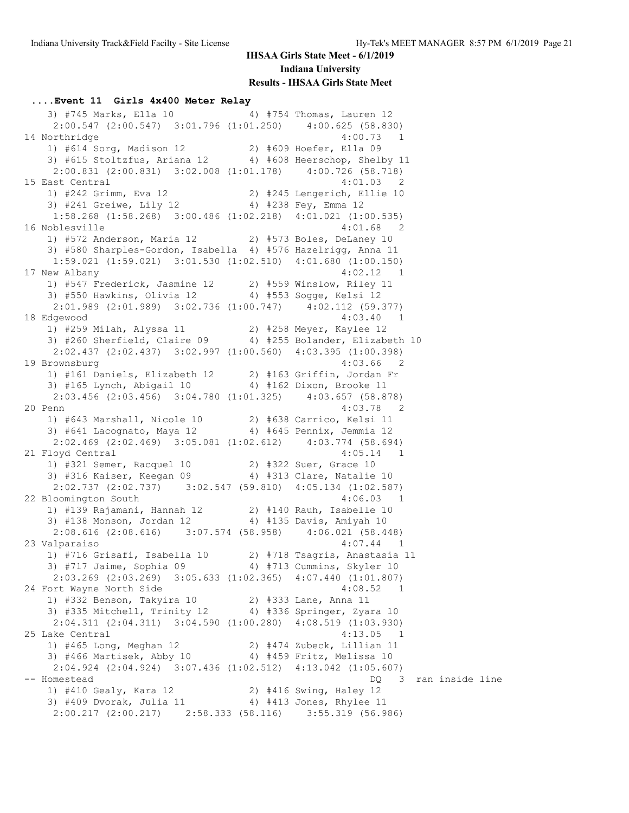#### **....Event 11 Girls 4x400 Meter Relay**

3) #745 Marks, Ella 10 4) #754 Thomas, Lauren 12 2:00.547 (2:00.547) 3:01.796 (1:01.250) 4:00.625 (58.830) 14 Northridge 4:00.73 1 1) #614 Sorg, Madison 12 2) #609 Hoefer, Ella 09 3) #615 Stoltzfus, Ariana 12 4) #608 Heerschop, Shelby 11 2:00.831 (2:00.831) 3:02.008 (1:01.178) 4:00.726 (58.718) 15 East Central 4:01.03 2 1) #242 Grimm, Eva 12 2) #245 Lengerich, Ellie 10 3) #241 Greiwe, Lily 12 4) #238 Fey, Emma 12 1:58.268 (1:58.268) 3:00.486 (1:02.218) 4:01.021 (1:00.535) 16 Noblesville 4:01.68 2 1) #572 Anderson, Maria 12 2) #573 Boles, DeLaney 10 3) #580 Sharples-Gordon, Isabella 4) #576 Hazelrigg, Anna 11 1:59.021 (1:59.021) 3:01.530 (1:02.510) 4:01.680 (1:00.150) 17 New Albany 4:02.12 1 1) #547 Frederick, Jasmine 12 2) #559 Winslow, Riley 11 3) #550 Hawkins, Olivia 12 4) #553 Sogge, Kelsi 12 2:01.989 (2:01.989) 3:02.736 (1:00.747) 4:02.112 (59.377) 18 Edgewood 4:03.40 1 1) #259 Milah, Alyssa 11 2) #258 Meyer, Kaylee 12 3) #260 Sherfield, Claire 09 4) #255 Bolander, Elizabeth 10 2:02.437 (2:02.437) 3:02.997 (1:00.560) 4:03.395 (1:00.398) 19 Brownsburg 4:03.66 2 1) #161 Daniels, Elizabeth 12 2) #163 Griffin, Jordan Fr 3) #165 Lynch, Abigail 10 4) #162 Dixon, Brooke 11 2:03.456 (2:03.456) 3:04.780 (1:01.325) 4:03.657 (58.878) 20 Penn 4:03.78 2 1) #643 Marshall, Nicole 10 2) #638 Carrico, Kelsi 11 3) #641 Lacognato, Maya 12 4) #645 Pennix, Jemmia 12 2:02.469 (2:02.469) 3:05.081 (1:02.612) 4:03.774 (58.694) 21 Floyd Central 4:05.14 1 1) #321 Semer, Racquel 10 2) #322 Suer, Grace 10 3) #316 Kaiser, Keegan 09 4) #313 Clare, Natalie 10 2:02.737 (2:02.737) 3:02.547 (59.810) 4:05.134 (1:02.587) 22 Bloomington South 4:06.03 1 1) #139 Rajamani, Hannah 12 2) #140 Rauh, Isabelle 10 3) #138 Monson, Jordan 12 4) #135 Davis, Amiyah 10 2:08.616 (2:08.616) 3:07.574 (58.958) 4:06.021 (58.448) 23 Valparaiso 4:07.44 1 1) #716 Grisafi, Isabella 10 2) #718 Tsagris, Anastasia 11 3) #717 Jaime, Sophia 09 4) #713 Cummins, Skyler 10 2:03.269 (2:03.269) 3:05.633 (1:02.365) 4:07.440 (1:01.807) 24 Fort Wayne North Side 1) #332 Benson, Takyira 10 2) #333 Lane, Anna 11 3) #335 Mitchell, Trinity 12 4) #336 Springer, Zyara 10 2:04.311 (2:04.311) 3:04.590 (1:00.280) 4:08.519 (1:03.930) 25 Lake Central 4:13.05 1 1) #465 Long, Meghan 12 2) #474 Zubeck, Lillian 11 3) #466 Martisek, Abby 10 4) #459 Fritz, Melissa 10 2:04.924 (2:04.924) 3:07.436 (1:02.512) 4:13.042 (1:05.607) -- Homestead DQ 3 ran inside line 1) #410 Gealy, Kara 12 2) #416 Swing, Haley 12 3) #409 Dvorak, Julia 11 4) #413 Jones, Rhylee 11 2:00.217 (2:00.217) 2:58.333 (58.116) 3:55.319 (56.986)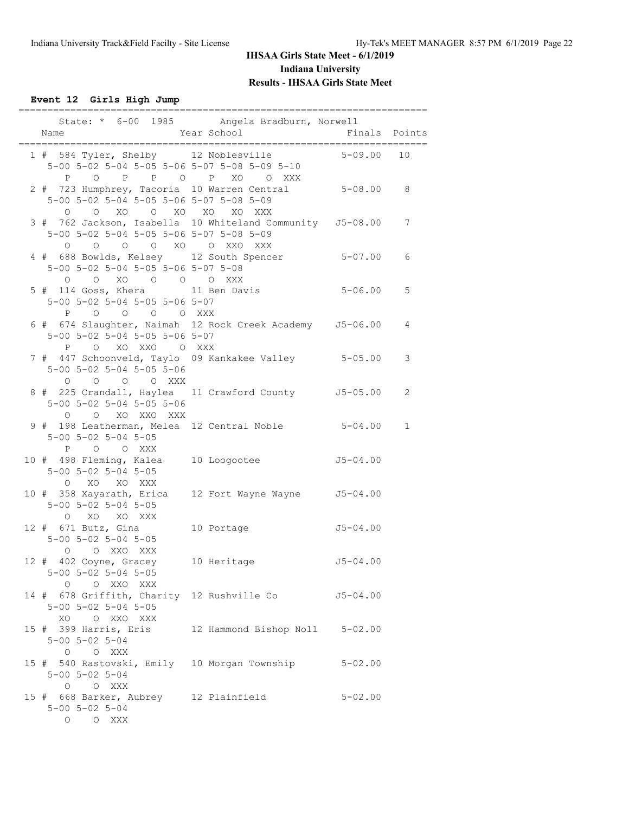**Event 12 Girls High Jump**

| Name                                                                                                                                  | State: * 6-00 1985 Angela Bradburn, Norwell<br>Year School<br>----------------------- | Finals Points |             |
|---------------------------------------------------------------------------------------------------------------------------------------|---------------------------------------------------------------------------------------|---------------|-------------|
| 1 # 584 Tyler, Shelby 12 Noblesville<br>$5-00$ $5-02$ $5-04$ $5-05$ $5-06$ $5-07$ $5-08$ $5-09$ $5-10$<br>P                           | O P P O P XO O XXX                                                                    | $5 - 09.00$   | 10          |
| 2 # 723 Humphrey, Tacoria 10 Warren Central<br>5-00 5-02 5-04 5-05 5-06 5-07 5-08 5-09<br>O O XO O XO XO XO XXX                       |                                                                                       | $5 - 08.00$ 8 |             |
| 3 # 762 Jackson, Isabella 10 Whiteland Community J5-08.00<br>5-00 5-02 5-04 5-05 5-06 5-07 5-08 5-09<br>O O O XO O XXO XXX<br>$\circ$ |                                                                                       |               | 7           |
| 4 # 688 Bowlds, Kelsey 12 South Spencer 5-07.00<br>5-00 5-02 5-04 5-05 5-06 5-07 5-08<br>0 0 XO 0 0 0 XXX                             |                                                                                       |               | 6           |
| 5 # 114 Goss, Khera         11 Ben Davis<br>5-00 5-02 5-04 5-05 5-06 5-07<br>P O O O O XXX                                            |                                                                                       | $5 - 06.00$   | 5           |
| 6 # 674 Slaughter, Naimah 12 Rock Creek Academy J5-06.00<br>5-00 5-02 5-04 5-05 5-06 5-07<br>P O XO XXO O XXX                         |                                                                                       |               | 4           |
| 7 # 447 Schoonveld, Taylo 09 Kankakee Valley 5-05.00<br>$5 - 00$ $5 - 02$ $5 - 04$ $5 - 05$ $5 - 06$<br>$O$ $O$ $O$ $XXX$<br>$\circ$  |                                                                                       |               | 3           |
| 8 # 225 Crandall, Haylea 11 Crawford County 55-05.00<br>$5 - 00$ $5 - 02$ $5 - 04$ $5 - 05$ $5 - 06$<br>O O XO XXO XXX                |                                                                                       |               | 2           |
| 9 # 198 Leatherman, Melea 12 Central Noble 5-04.00<br>$5 - 00$ $5 - 02$ $5 - 04$ $5 - 05$<br>P O O XXX                                |                                                                                       |               | $\mathbf 1$ |
| 10 # 498 Fleming, Kalea 10 Loogootee<br>$5 - 00$ $5 - 02$ $5 - 04$ $5 - 05$<br>O XO XO XXX                                            |                                                                                       | $J5 - 04.00$  |             |
| 10 # 358 Xayarath, Erica 12 Fort Wayne Wayne 55-04.00<br>$5 - 00$ $5 - 02$ $5 - 04$ $5 - 05$<br>O XO XO XXX                           |                                                                                       |               |             |
| $12$ # 671 Butz, Gina<br>$5 - 00$ $5 - 02$ $5 - 04$ $5 - 05$<br>O O XXO XXX                                                           | 10 Portage                                                                            | $J5 - 04.00$  |             |
| 12 # 402 Coyne, Gracey<br>$5 - 00$ $5 - 02$ $5 - 04$ $5 - 05$<br>O O XXO XXX                                                          | 10 Heritage                                                                           | $J5 - 04.00$  |             |
| 14 # 678 Griffith, Charity 12 Rushville Co 55-04.00<br>$5 - 00$ $5 - 02$ $5 - 04$ $5 - 05$<br>XO O XXO XXX                            |                                                                                       |               |             |
| 15 # 399 Harris, Eris 12 Hammond Bishop Noll 5-02.00<br>$5 - 00$ $5 - 02$ $5 - 04$<br>O O XXX                                         |                                                                                       |               |             |
| 15 # 540 Rastovski, Emily 10 Morgan Township 5-02.00<br>$5 - 00$ $5 - 02$ $5 - 04$<br>O O XXX                                         |                                                                                       |               |             |
| 15 # 668 Barker, Aubrey 12 Plainfield<br>$5 - 00$ $5 - 02$ $5 - 04$<br>O O XXX                                                        |                                                                                       | $5 - 02.00$   |             |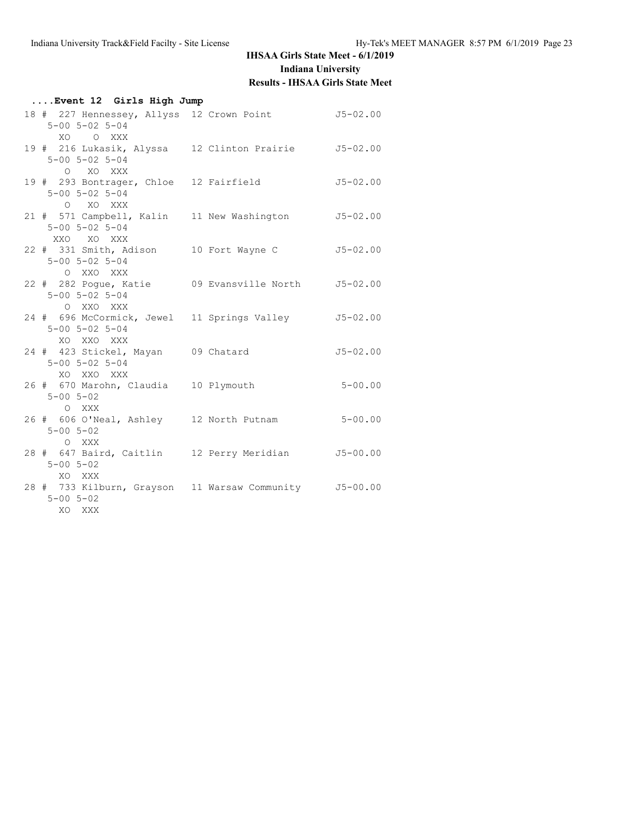| Event 12 Girls High Jump                                                                             |              |
|------------------------------------------------------------------------------------------------------|--------------|
| 18 # 227 Hennessey, Allyss 12 Crown Point 55-02.00<br>$5 - 00$ $5 - 02$ $5 - 04$<br>XO O XXX         |              |
| 19 # 216 Lukasik, Alyssa 12 Clinton Prairie 55-02.00<br>$5 - 00$ $5 - 02$ $5 - 04$<br>O XO XXX       |              |
| 19 # 293 Bontrager, Chloe 12 Fairfield<br>$5 - 00$ $5 - 02$ $5 - 04$<br>O XO XXX                     | $J5 - 02.00$ |
| 21 # 571 Campbell, Kalin 11 New Washington<br>$5 - 00$ $5 - 02$ $5 - 04$<br>XXO XO XXX               | $J5 - 02.00$ |
| 22 # 331 Smith, Adison 10 Fort Wayne C<br>$5 - 00$ $5 - 02$ $5 - 04$<br>O XXO XXX                    | $J5 - 02.00$ |
| 22 # 282 Pogue, Katie 09 Evansville North 55-02.00<br>$5 - 00$ $5 - 02$ $5 - 04$                     |              |
| O XXO XXX<br>24 # 696 McCormick, Jewel 11 Springs Valley<br>$5 - 00$ $5 - 02$ $5 - 04$<br>XO XXO XXX | $J5 - 02.00$ |
| 24 # 423 Stickel, Mayan 09 Chatard<br>$5 - 00$ $5 - 02$ $5 - 04$<br>XO XXO XXX                       | $J5 - 02.00$ |
| 26 # 670 Marohn, Claudia 10 Plymouth<br>$5 - 00$ $5 - 02$<br>O XXX                                   | $5 - 00.00$  |
| 26 # 606 O'Neal, Ashley 12 North Putnam<br>$5 - 00$ $5 - 02$<br>O XXX                                | $5 - 00.00$  |
| 28 # 647 Baird, Caitlin 12 Perry Meridian 55-00.00<br>$5 - 00$ $5 - 02$<br>XO XXX                    |              |
| 28 # 733 Kilburn, Grayson 11 Warsaw Community 55-00.00<br>$5 - 00$ $5 - 02$<br>XO XXX                |              |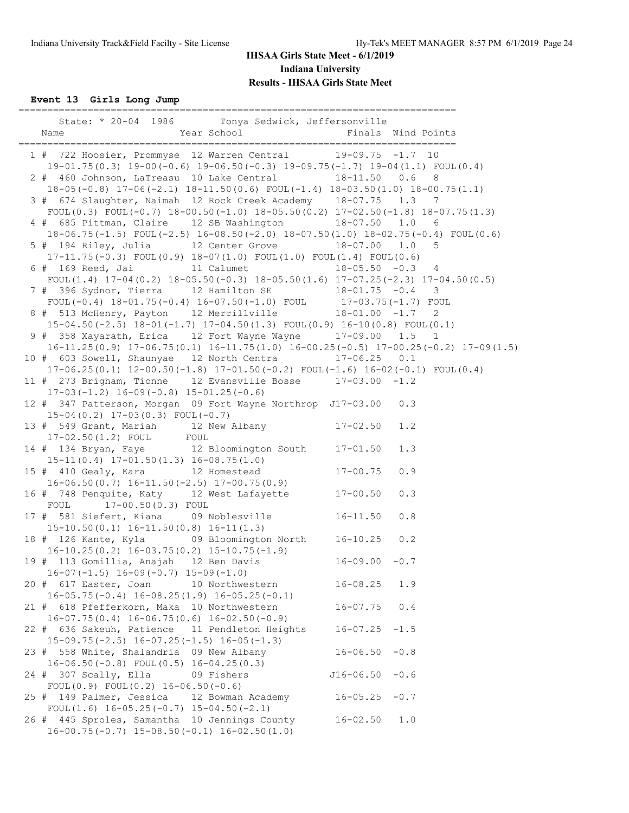**Event 13 Girls Long Jump**

| ----------------------------<br>--------------------------------<br>State: * 20-04 1986 Tonya Sedwick, Jeffersonville                                                                                                                                |     |
|------------------------------------------------------------------------------------------------------------------------------------------------------------------------------------------------------------------------------------------------------|-----|
| 1 # 722 Hoosier, Prommyse 12 Warren Central 19-09.75 -1.7 10<br>$19-01.75(0.3)$ $19-00(-0.6)$ $19-06.50(-0.3)$ $19-09.75(-1.7)$ $19-04(1.1)$ $F\text{OUL}(0.4)$                                                                                      |     |
| 2 # 460 Johnson, LaTreasu 10 Lake Central 18-11.50 0.6<br>$18-05(-0.8)$ $17-06(-2.1)$ $18-11.50(0.6)$ $FOUL(-1.4)$ $18-03.50(1.0)$ $18-00.75(1.1)$                                                                                                   | 8   |
| 3 # 674 Slaughter, Naimah 12 Rock Creek Academy 18-07.75 1.3 7                                                                                                                                                                                       |     |
| FOUL(0.3) FOUL(-0.7) $18-00.50(-1.0)$ $18-05.50(0.2)$ $17-02.50(-1.8)$ $18-07.75(1.3)$<br>4 # 685 Pittman, Claire 12 SB Washington 18-07.50 1.0 6                                                                                                    |     |
| 18-06.75(-1.5) FOUL(-2.5) 16-08.50(-2.0) 18-07.50(1.0) 18-02.75(-0.4) FOUL(0.6)<br>5 # 194 Riley, Julia 12 Center Grove 18-07.00 1.0 5                                                                                                               |     |
| $17-11.75(-0.3)$ FOUL $(0.9)$ $18-07(1.0)$ FOUL $(1.0)$ FOUL $(1.4)$ FOUL $(0.6)$<br>6 # 169 Reed, Jai 11 Calumet 18-05.50 -0.3 4                                                                                                                    |     |
| FOUL(1.4) $17-04(0.2)$ $18-05.50(-0.3)$ $18-05.50(1.6)$ $17-07.25(-2.3)$ $17-04.50(0.5)$<br>7 # 396 Sydnor, Tierra 12 Hamilton SE 18-01.75 -0.4 3<br>FOUL(-0.4) 18-01.75 (-0.4) 16-07.50(-1.0) FOUL 17-03.75(-1.7) FOUL                              |     |
| 8 # 513 McHenry, Payton 12 Merrillville $18-01.00$ -1.7 2                                                                                                                                                                                            |     |
| $15-04.50(-2.5)$ $18-01(-1.7)$ $17-04.50(1.3)$ $FOUL(0.9)$ $16-10(0.8)$ $FOUL(0.1)$<br>9 # 358 Xayarath, Erica 12 Fort Wayne Wayne 17-09.00 1.5 1                                                                                                    |     |
| $16-11.25(0.9)$ $17-06.75(0.1)$ $16-11.75(1.0)$ $16-00.25(-0.5)$ $17-00.25(-0.2)$ $17-09(1.5)$<br>10 # 603 Sowell, Shaunyae 12 North Centra 17-06.25 0.1<br>$17-06.25(0.1)$ $12-00.50(-1.8)$ $17-01.50(-0.2)$ $F0UL(-1.6)$ $16-02(-0.1)$ $F0UL(0.4)$ |     |
| 11 # 273 Brigham, Tionne 12 Evansville Bosse 17-03.00 -1.2<br>$17-03(-1.2)$ $16-09(-0.8)$ $15-01.25(-0.6)$                                                                                                                                           |     |
| 12 # 347 Patterson, Morgan 09 Fort Wayne Northrop J17-03.00                                                                                                                                                                                          | 0.3 |
| $15-04(0.2)$ $17-03(0.3)$ FOUL(-0.7)<br>13 # 549 Grant, Mariah 12 New Albany 17-02.50<br>17-02.50(1.2) FOUL FOUL                                                                                                                                     | 1.2 |
| 14 # 134 Bryan, Faye 12 Bloomington South 17-01.50                                                                                                                                                                                                   | 1.3 |
| $15-11(0.4)$ $17-01.50(1.3)$ $16-08.75(1.0)$<br>$17 - 00.75$<br>15 # 410 Gealy, Kara 12 Homestead<br>$16-06.50(0.7)$ $16-11.50(-2.5)$ $17-00.75(0.9)$                                                                                                | 0.9 |
| 16 # 748 Penquite, Katy 12 West Lafayette 17-00.50<br>FOUL 17-00.50(0.3) FOUL                                                                                                                                                                        | 0.3 |
| 17 # 581 Siefert, Kiana 09 Noblesville 16-11.50<br>$15-10.50(0.1)$ $16-11.50(0.8)$ $16-11(1.3)$                                                                                                                                                      | 0.8 |
| $16-10.25(0.2)$ $16-03.75(0.2)$ $15-10.75(-1.9)$                                                                                                                                                                                                     | 0.2 |
| 19 # 113 Gomillia, Anajah 12 Ben Davis<br>$16 - 09.00 - 0.7$<br>$16-07(-1.5)$ $16-09(-0.7)$ $15-09(-1.0)$                                                                                                                                            |     |
| 20 # 617 Easter, Joan 10 Northwestern<br>$16 - 08.25$<br>$16-05.75(-0.4)$ $16-08.25(1.9)$ $16-05.25(-0.1)$                                                                                                                                           | 1.9 |
| 21 # 618 Pfefferkorn, Maka 10 Northwestern<br>$16 - 07.75$<br>$16-07.75(0.4) 16-06.75(0.6) 16-02.50(-0.9)$                                                                                                                                           | 0.4 |
| 22 # 636 Sakeuh, Patience 11 Pendleton Heights<br>$16 - 07.25 - 1.5$<br>$15-09.75(-2.5)$ $16-07.25(-1.5)$ $16-05(-1.3)$                                                                                                                              |     |
| 23 # 558 White, Shalandria 09 New Albany<br>$16 - 06.50 - 0.8$<br>$16-06.50(-0.8)$ FOUL $(0.5)$ 16-04.25 $(0.3)$                                                                                                                                     |     |
| 24 # 307 Scally, Ella 09 Fishers<br>$J16-06.50 - 0.6$<br>FOUL $(0.9)$ FOUL $(0.2)$ 16-06.50 $(-0.6)$                                                                                                                                                 |     |
| 25 # 149 Palmer, Jessica 12 Bowman Academy<br>$16 - 05.25 - 0.7$<br>FOUL $(1.6)$ 16-05.25 $(-0.7)$ 15-04.50 $(-2.1)$                                                                                                                                 |     |
| 26 # 445 Sproles, Samantha 10 Jennings County<br>$16 - 02.50$<br>$16-00.75(-0.7)$ $15-08.50(-0.1)$ $16-02.50(1.0)$                                                                                                                                   | 1.0 |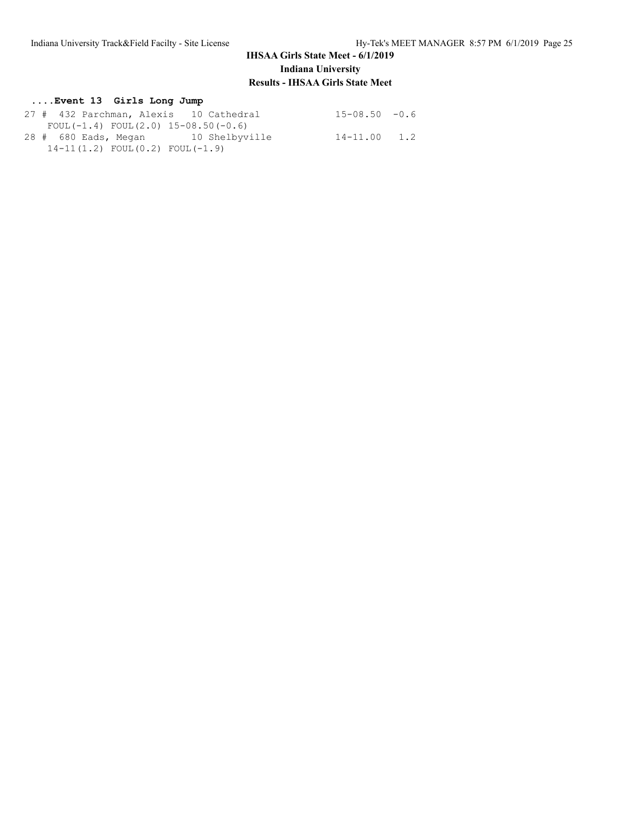### **....Event 13 Girls Long Jump**

| 27 # 432 Parchman, Alexis 10 Cathedral    | $15 - 08.50 - 0.6$ |  |
|-------------------------------------------|--------------------|--|
| FOUL $(-1.4)$ FOUL $(2.0)$ 15-08.50(-0.6) |                    |  |
| 28 # 680 Eads, Megan 10 Shelbyville       | $14 - 11.00$ 1.2   |  |
| $14-11(1.2)$ FOUL $(0.2)$ FOUL $(-1.9)$   |                    |  |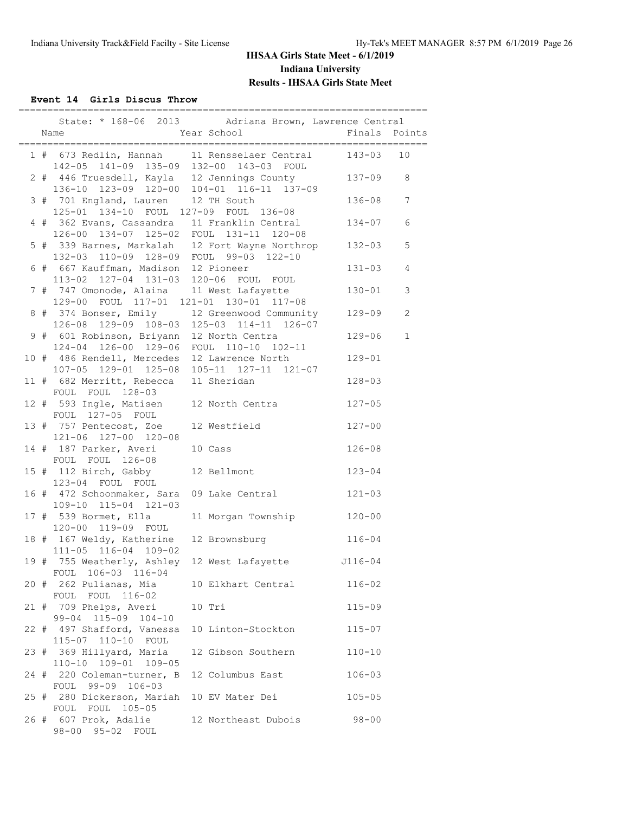**Event 14 Girls Discus Throw**

|  | ==========                                                                                |                                                                                           |               |                 |
|--|-------------------------------------------------------------------------------------------|-------------------------------------------------------------------------------------------|---------------|-----------------|
|  | Year School<br>Name                                                                       | State: * 168-06 2013 Adriana Brown, Lawrence Central                                      | Finals Points |                 |
|  | 142-05 141-09 135-09 132-00 143-03 FOUL                                                   | 1 # 673 Redlin, Hannah 11 Rensselaer Central                                              | 143-03        | 10              |
|  |                                                                                           | 2 # 446 Truesdell, Kayla 12 Jennings County<br>136-10 123-09 120-00 104-01 116-11 137-09  | $137 - 09$ 8  |                 |
|  | 3 # 701 England, Lauren 12 TH South<br>125-01 134-10 FOUL 127-09 FOUL 136-08              |                                                                                           | $136 - 08$    | $7\overline{ }$ |
|  |                                                                                           | 4 # 362 Evans, Cassandra 11 Franklin Central<br>126-00 134-07 125-02 FOUL 131-11 120-08   | $134 - 07$    | $\sqrt{6}$      |
|  | 132-03 110-09 128-09 FOUL 99-03 122-10                                                    | 5 # 339 Barnes, Markalah 12 Fort Wayne Northrop                                           | $132 - 03$    | $\mathbf 5$     |
|  | 6 # 667 Kauffman, Madison 12 Pioneer<br>113-02 127-04 131-03 120-06 FOUL FOUL             |                                                                                           | $131 - 03$    | 4               |
|  | 7 # 747 Omonode, Alaina 11 West Lafayette<br>129-00 FOUL 117-01 121-01 130-01 117-08      |                                                                                           | $130 - 01$    | 3               |
|  |                                                                                           | 8 # 374 Bonser, Emily 12 Greenwood Community<br>126-08 129-09 108-03 125-03 114-11 126-07 | $129 - 09$    | 2               |
|  | 9 # 601 Robinson, Briyann 12 North Centra<br>124-04 126-00 129-06 FOUL 110-10 102-11      |                                                                                           | $129 - 06$    | $\mathbf 1$     |
|  | 10 # 486 Rendell, Mercedes 12 Lawrence North<br>107-05 129-01 125-08 105-11 127-11 121-07 |                                                                                           | $129 - 01$    |                 |
|  | 11 # 682 Merritt, Rebecca 11 Sheridan<br>FOUL FOUL 128-03                                 |                                                                                           | $128 - 03$    |                 |
|  | FOUL 127-05 FOUL                                                                          | 12 # 593 Ingle, Matisen 12 North Centra                                                   | $127 - 05$    |                 |
|  | 121-06 127-00 120-08                                                                      | 13 # 757 Pentecost, Zoe 12 Westfield                                                      | $127 - 00$    |                 |
|  | 14 # 187 Parker, Averi<br>FOUL FOUL 126-08                                                | 10 Cass                                                                                   | $126 - 08$    |                 |
|  | 15 # 112 Birch, Gabby<br>123-04 FOUL FOUL                                                 | 12 Bellmont                                                                               | $123 - 04$    |                 |
|  | 109-10 115-04 121-03                                                                      | 16 # 472 Schoonmaker, Sara 09 Lake Central                                                | $121 - 03$    |                 |
|  | 17 # 539 Bormet, Ella<br>120-00 119-09 FOUL                                               | 11 Morgan Township                                                                        | $120 - 00$    |                 |
|  | 111-05 116-04 109-02                                                                      | 18 # 167 Weldy, Katherine 12 Brownsburg 116-04                                            |               |                 |
|  | FOUL 106-03 116-04                                                                        | 19 # 755 Weatherly, Ashley 12 West Lafayette 3116-04                                      |               |                 |
|  | 20 # 262 Pulianas, Mia<br>FOUL FOUL 116-02                                                | 10 Elkhart Central                                                                        | $116 - 02$    |                 |
|  | 21 # 709 Phelps, Averi<br>99-04 115-09 104-10                                             | 10 Tri                                                                                    | $115 - 09$    |                 |
|  | 22 # 497 Shafford, Vanessa<br>115-07 110-10 FOUL                                          | 10 Linton-Stockton                                                                        | $115 - 07$    |                 |
|  | 23 # 369 Hillyard, Maria<br>110-10 109-01 109-05                                          | 12 Gibson Southern                                                                        | $110 - 10$    |                 |
|  | 24 # 220 Coleman-turner, B<br>FOUL 99-09 106-03                                           | 12 Columbus East                                                                          | $106 - 03$    |                 |
|  | 25 # 280 Dickerson, Mariah<br>FOUL FOUL 105-05                                            | 10 EV Mater Dei                                                                           | $105 - 05$    |                 |
|  | 26 # 607 Prok, Adalie<br>98-00 95-02 FOUL                                                 | 12 Northeast Dubois                                                                       | $98 - 00$     |                 |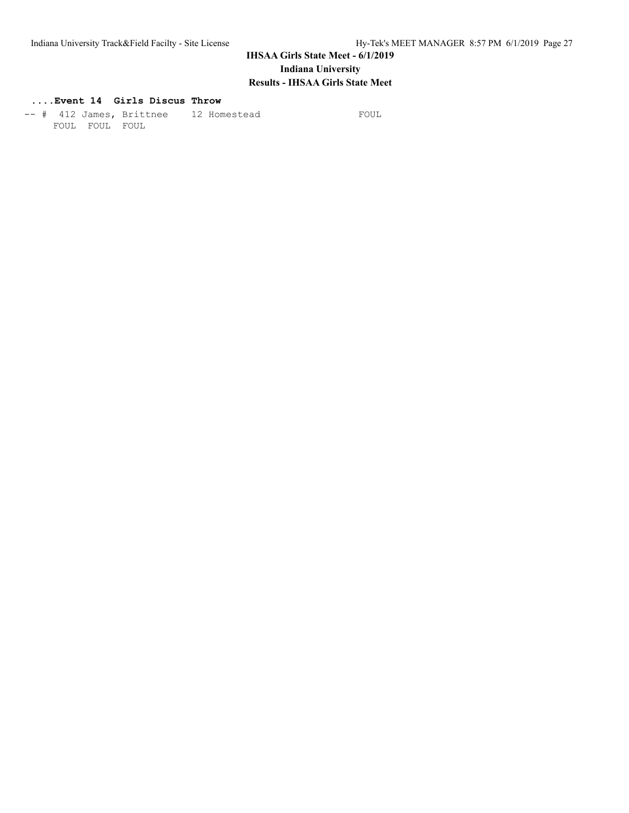# **....Event 14 Girls Discus Throw**

-- # 412 James, Brittnee 12 Homestead FOUL FOUL FOUL FOUL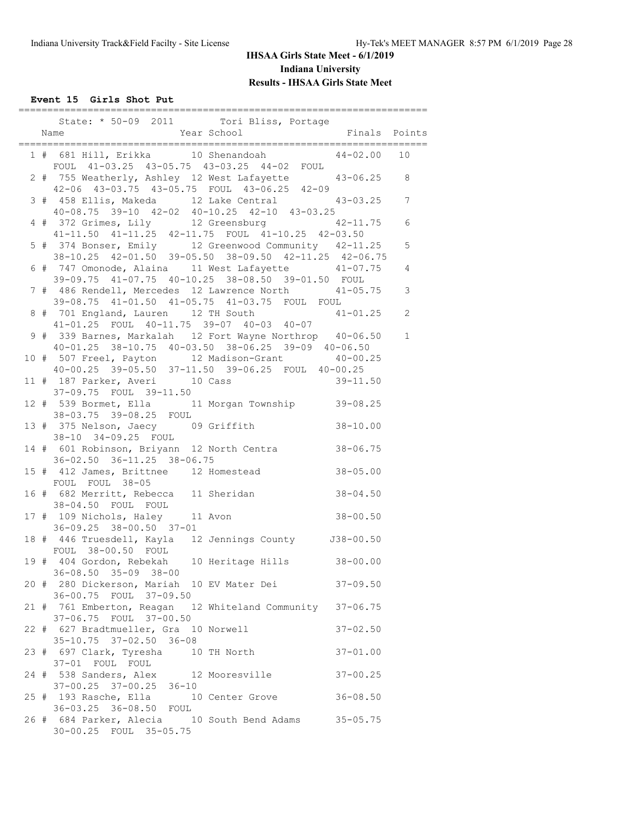**Event 15 Girls Shot Put**

|  | State: * 50-09 2011 Tori Bliss, Portage                                                                                                                     |                |
|--|-------------------------------------------------------------------------------------------------------------------------------------------------------------|----------------|
|  |                                                                                                                                                             |                |
|  | 1 # 681 Hill, Erikka 10 Shenandoah 44-02.00 10<br>FOUL 41-03.25 43-05.75 43-03.25 44-02 FOUL                                                                |                |
|  | 2 # 755 Weatherly, Ashley 12 West Lafayette 43-06.25 8<br>42-06 43-03.75 43-05.75 FOUL 43-06.25 42-09                                                       |                |
|  | 3 # 458 Ellis, Makeda 12 Lake Central 43-03.25 7                                                                                                            |                |
|  | 40-08.75 39-10 42-02 40-10.25 42-10 43-03.25<br>4 # 372 Grimes, Lily 12 Greensburg 42-11.75<br>41-11.50 41-11.25 42-11.75 FOUL 41-10.25 42-03.50            | $\sqrt{6}$     |
|  | 5 # 374 Bonser, Emily 12 Greenwood Community 42-11.25<br>38-10.25 42-01.50 39-05.50 38-09.50 42-11.25 42-06.75                                              | $\mathbf 5$    |
|  | 6 # 747 Omonode, Alaina 11 West Lafayette 41-07.75<br>39-09.75 41-07.75 40-10.25 38-08.50 39-01.50 FOUL                                                     | $\overline{4}$ |
|  | 7 # 486 Rendell, Mercedes 12 Lawrence North 41-05.75<br>39-08.75 41-01.50 41-05.75 41-03.75 FOUL FOUL                                                       | $\mathsf 3$    |
|  | 8 # 701 England, Lauren 12 TH South 41-01.25<br>41-01.25 FOUL 40-11.75 39-07 40-03 40-07                                                                    | $\overline{c}$ |
|  | 9 # 339 Barnes, Markalah 12 Fort Wayne Northrop 40-06.50                                                                                                    | $\mathbf 1$    |
|  | 40-01.25 38-10.75 40-03.50 38-06.25 39-09 40-06.50<br>10 # 507 Freel, Payton 12 Madison-Grant 40-00.25<br>40-00.25 39-05.50 37-11.50 39-06.25 FOUL 40-00.25 |                |
|  | 11 # 187 Parker, Averi 10 Cass<br>$39 - 11.50$<br>37-09.75 FOUL 39-11.50                                                                                    |                |
|  | 12 # 539 Bormet, Ella 11 Morgan Township 39-08.25<br>38-03.75 39-08.25 FOUL                                                                                 |                |
|  | 13 # 375 Nelson, Jaecy 09 Griffith<br>$38 - 10.00$<br>38-10 34-09.25 FOUL                                                                                   |                |
|  | 14 # 601 Robinson, Briyann 12 North Centra 38-06.75<br>36-02.50 36-11.25 38-06.75                                                                           |                |
|  | 15 # 412 James, Brittnee 12 Homestead<br>$38 - 05.00$<br>FOUL FOUL 38-05                                                                                    |                |
|  | 16 # 682 Merritt, Rebecca 11 Sheridan 38-04.50<br>38-04.50 FOUL FOUL                                                                                        |                |
|  | 17 # 109 Nichols, Haley 11 Avon (1990) 38-00.50<br>36-09.25 38-00.50 37-01                                                                                  |                |
|  | 18 # 446 Truesdell, Kayla 12 Jennings County J38-00.50<br>FOUL 38-00.50 FOUL                                                                                |                |
|  | 19 # 404 Gordon, Rebekah 10 Heritage Hills 38-00.00<br>$36 - 08.50$ $35 - 09$ $38 - 00$                                                                     |                |
|  | 20 # 280 Dickerson, Mariah 10 EV Mater Dei<br>$37 - 09.50$<br>36-00.75 FOUL 37-09.50                                                                        |                |
|  | 21 # 761 Emberton, Reagan 12 Whiteland Community 37-06.75<br>37-06.75 FOUL 37-00.50                                                                         |                |
|  | 22 # 627 Bradtmueller, Gra 10 Norwell<br>$37 - 02.50$<br>35-10.75 37-02.50 36-08                                                                            |                |
|  | 23 # 697 Clark, Tyresha 10 TH North<br>$37 - 01.00$<br>37-01 FOUL FOUL                                                                                      |                |
|  | 24 # 538 Sanders, Alex 12 Mooresville<br>$37 - 00.25$                                                                                                       |                |
|  | 37-00.25 37-00.25 36-10<br>25 # 193 Rasche, Ella 10 Center Grove<br>36-03.25 36-08.50 FOUL<br>$36 - 08.50$                                                  |                |
|  | 26 # 684 Parker, Alecia 10 South Bend Adams<br>$35 - 05.75$<br>30-00.25 FOUL 35-05.75                                                                       |                |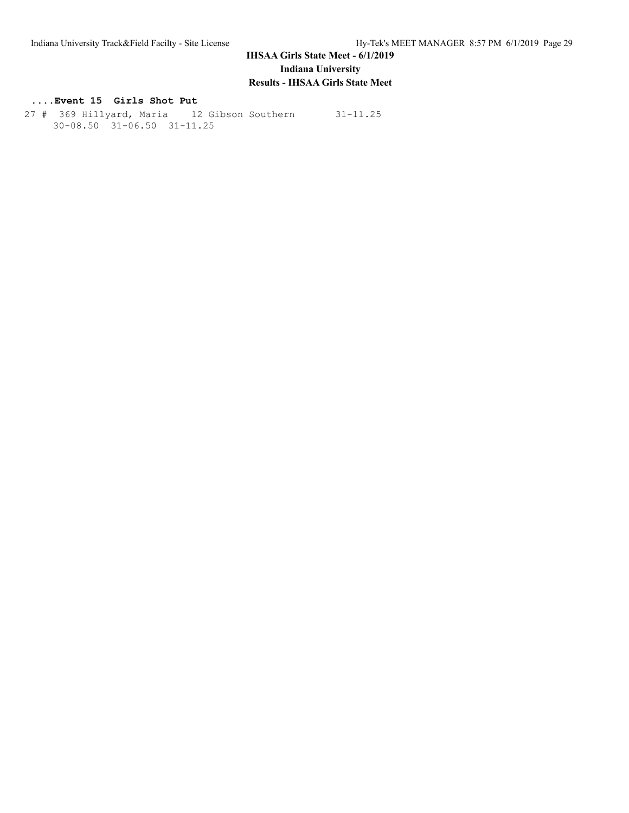### **....Event 15 Girls Shot Put**

 27 # 369 Hillyard, Maria 12 Gibson Southern 31-11.25 30-08.50 31-06.50 31-11.25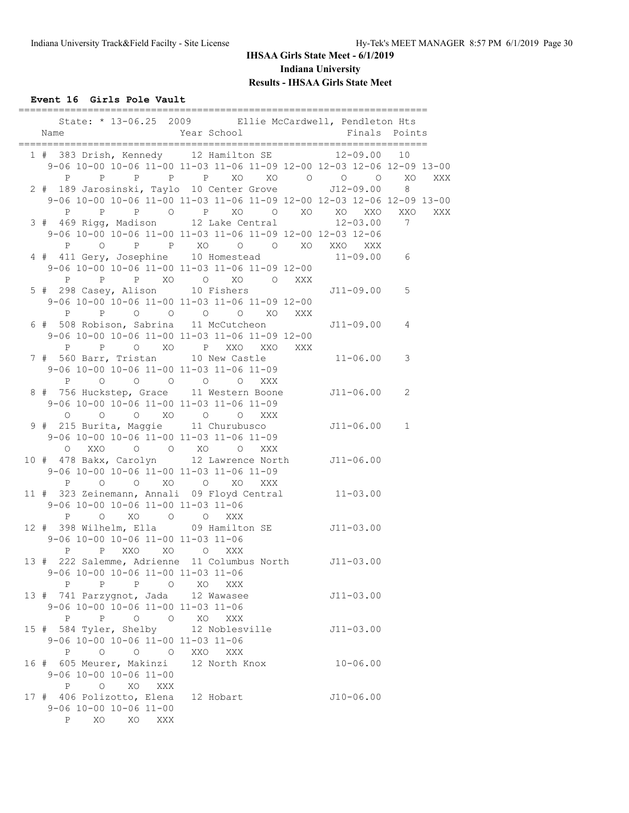**Event 16 Girls Pole Vault**

| Name                                                                                                                             | State: * 13-06.25 2009 Ellie McCardwell, Pendleton Hts<br>Year School               | Finals Points       |                |
|----------------------------------------------------------------------------------------------------------------------------------|-------------------------------------------------------------------------------------|---------------------|----------------|
| 1 # 383 Drish, Kennedy 12 Hamilton SE 12-09.00                                                                                   | 9-06 10-00 10-06 11-00 11-03 11-06 11-09 12-00 12-03 12-06 12-09 13-00              |                     | 10             |
| 2 # 189 Jarosinski, Taylo 10 Center Grove                                                                                        | P P P P P XO XO O O O                                                               | $J12 - 09.00$       | XO<br>XXX<br>8 |
|                                                                                                                                  | 9-06 10-00 10-06 11-00 11-03 11-06 11-09 12-00 12-03 12-06 12-09 13-00              |                     | XXX            |
| 3 # 469 Rigg, Madison 12 Lake Central                                                                                            | 9-06 10-00 10-06 11-00 11-03 11-06 11-09 12-00 12-03 12-06<br>P O P P XO O O XO XXO | $12 - 03.00$<br>XXX | $\overline{7}$ |
| 4 # 411 Gery, Josephine 10 Homestead 11-09.00 6<br>$\mathbf{P}$                                                                  | 9-06 10-00 10-06 11-00 11-03 11-06 11-09 12-00<br>P P XO O XO O XXX                 |                     |                |
| 5 # 298 Casey, Alison 10 Fishers                                                                                                 | 9-06 10-00 10-06 11-00 11-03 11-06 11-09 12-00<br>P P O O O O XO XXX                | J11-09.00           | 5              |
| 6 # 508 Robison, Sabrina 11 McCutcheon<br>P                                                                                      | 9-06 10-00 10-06 11-00 11-03 11-06 11-09 12-00<br>P O XO P XXO XXO XXX              | J11-09.00           | 4              |
| 7 # 560 Barr, Tristan 10 New Castle<br>9-06 10-00 10-06 11-00 11-03 11-06 11-09<br>P 0 0 0 0 0                                   | XXX                                                                                 | $11 - 06.00$        | 3              |
| 8 # 756 Huckstep, Grace 11 Western Boone<br>9-06 10-00 10-06 11-00 11-03 11-06 11-09<br>$\circ$<br>$\overline{O}$                | O XO O O XXX                                                                        | J11-06.00           | 2              |
| 9 # 215 Burita, Maggie 11 Churubusco<br>9-06 10-00 10-06 11-00 11-03 11-06 11-09<br>O XXO                                        | $O$ $O$ $XO$ $O$<br>XXX                                                             | $J11-06.00 1$       |                |
| 10 # 478 Bakx, Carolyn 12 Lawrence North J11-06.00<br>9-06 10-00 10-06 11-00 11-03 11-06 11-09<br>$\mathbb{P}$<br>$\overline{O}$ | O XO O XO XXX                                                                       |                     |                |
| 11 # 323 Zeinemann, Annali 09 Floyd Central 11-03.00<br>9-06 10-00 10-06 11-00 11-03 11-06<br>O XO O O<br>P                      | XXX                                                                                 |                     |                |
| 12 # 398 Wilhelm, Ella 09 Hamilton SE J11-03.00<br>9-06 10-00 10-06 11-00 11-03 11-06<br>P XXO XO O XXX<br>P                     |                                                                                     |                     |                |
| 13 # 222 Salemme, Adrienne 11 Columbus North J11-03.00<br>9-06 10-00 10-06 11-00 11-03 11-06<br>P P P O XO                       | XXX                                                                                 |                     |                |
| 13 # 741 Parzygnot, Jada 12 Wawasee<br>9-06 10-00 10-06 11-00 11-03 11-06                                                        |                                                                                     | $J11 - 03.00$       |                |
| 15 # 584 Tyler, Shelby 12 Noblesville<br>9-06 10-00 10-06 11-00 11-03 11-06<br>P O O O XXO XXX                                   |                                                                                     | $J11 - 03.00$       |                |
| 16 # 605 Meurer, Makinzi 12 North Knox 10-06.00<br>$9-06$ 10-00 10-06 11-00<br>P O XO XXX                                        |                                                                                     |                     |                |
| 17 # 406 Polizotto, Elena 12 Hobart<br>9-06 10-00 10-06 11-00<br>$P \qquad \qquad$<br>XO<br>XO XXX                               |                                                                                     | $J10-06.00$         |                |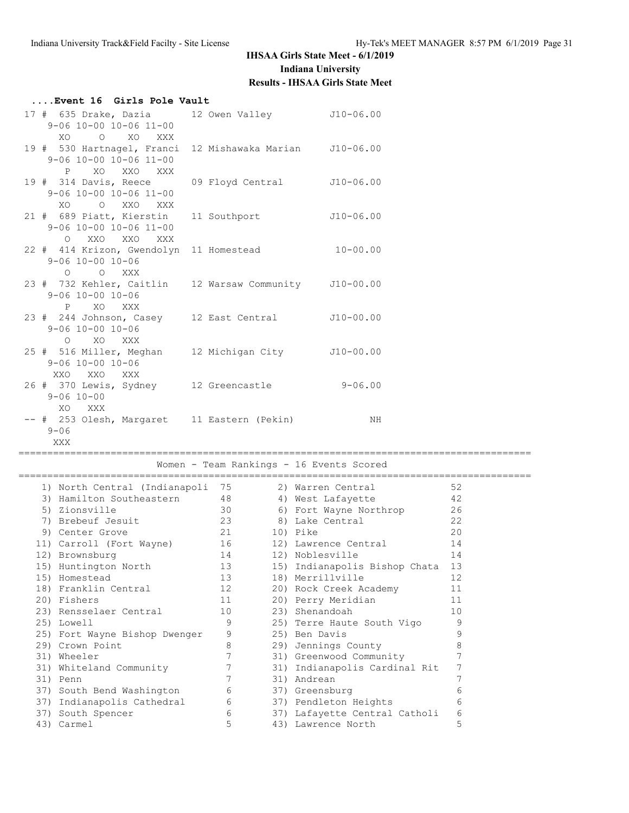| Event 16 Girls Pole Vault                                                                              |                  |                                                          |                              |  |  |
|--------------------------------------------------------------------------------------------------------|------------------|----------------------------------------------------------|------------------------------|--|--|
| 17 # 635 Drake, Dazia 12 Owen Valley 310-06.00<br>$9 - 06$ 10-00 10-06 11-00<br>O XO XXX<br>XO.        |                  |                                                          |                              |  |  |
| 19 # 530 Hartnagel, Franci 12 Mishawaka Marian<br>9-06 10-00 10-06 11-00<br>P XO XXO XXX               |                  | $J10-06.00$                                              |                              |  |  |
| 19 # 314 Davis, Reece<br>$9 - 06$ 10-00 10-06 11-00<br>O XXO<br>XO.<br>XXX                             | 09 Floyd Central | $J10-06.00$                                              |                              |  |  |
| 21 # 689 Piatt, Kierstin<br>$9 - 06$ 10-00 10-06 11-00<br>XXO<br>$\circ$<br>XXO<br>XXX                 | 11 Southport     | $J10-06.00$                                              |                              |  |  |
| 22 # 414 Krizon, Gwendolyn 11 Homestead<br>$9 - 06$ $10 - 00$ $10 - 06$<br>O XXX<br>$\circ$            |                  | $10 - 00.00$                                             |                              |  |  |
| 23 # 732 Kehler, Caitlin 12 Warsaw Community J10-00.00<br>$9 - 06$ $10 - 00$ $10 - 06$<br>P XO XXX     |                  |                                                          |                              |  |  |
| 23 # 244 Johnson, Casey 12 East Central<br>$9 - 06$ $10 - 00$ $10 - 06$<br>O XO XXX                    |                  | $J10-00.00$                                              |                              |  |  |
| 25 # 516 Miller, Meghan 12 Michigan City J10-00.00<br>$9 - 06$ $10 - 00$ $10 - 06$<br>XXO XXO XXX      |                  |                                                          |                              |  |  |
| 26 # 370 Lewis, Sydney 12 Greencastle 9-06.00<br>$9 - 06$ $10 - 00$<br>XO XXX                          |                  |                                                          |                              |  |  |
| -- # 253 Olesh, Margaret 11 Eastern (Pekin)<br>$9 - 06$<br>XXX                                         |                  | ΝH                                                       |                              |  |  |
| Women - Team Rankings - 16 Events Scored                                                               |                  |                                                          |                              |  |  |
| 1) North Central (Indianapoli 75 2) Warren Central<br>3) Hamilton Southeastern 48<br>$E = \frac{1}{2}$ | 20               | 4) West Lafayette<br>$\mathcal{L}$ Equat Morroc Nouthnon | 52<br>42<br>$\cap$ $\subset$ |  |  |

|  | I, NOIGH CONGIGI (INGIGHAPOII | ل <i>ا</i> | Z) WAIICH CCHCIAI             | ے ب |
|--|-------------------------------|------------|-------------------------------|-----|
|  | 3) Hamilton Southeastern      | 48         | 4) West Lafayette             | 42  |
|  | 5) Zionsville                 | 30         | 6) Fort Wayne Northrop        | 26  |
|  | 7) Brebeuf Jesuit             | 23         | 8) Lake Central               | 22  |
|  | 9) Center Grove               | 21         | 10) Pike                      | 20  |
|  | 11) Carroll (Fort Wayne) 16   |            | 12) Lawrence Central          | 14  |
|  | 12) Brownsburg                | 14         | 12) Noblesville               | 14  |
|  | 15) Huntington North          | 13         | 15) Indianapolis Bishop Chata | 13  |
|  | 15) Homestead                 | 13         | 18) Merrillville              | 12  |
|  | 18) Franklin Central          | 12         | 20) Rock Creek Academy        | 11  |
|  | 20) Fishers                   | 11         | 20) Perry Meridian            | 11  |
|  | 23) Rensselaer Central        | 10         | 23) Shenandoah                | 10  |
|  | 25) Lowell                    | 9          | 25) Terre Haute South Vigo    | 9   |
|  | 25) Fort Wayne Bishop Dwenger | 9          | 25) Ben Davis                 | 9   |
|  | 29) Crown Point               | 8          | 29) Jennings County           | 8   |
|  | 31) Wheeler                   |            | 31) Greenwood Community       |     |
|  | 31) Whiteland Community       | 7          | 31) Indianapolis Cardinal Rit | 7   |
|  | 31) Penn                      |            | 31) Andrean                   |     |
|  | 37) South Bend Washington     | 6          | 37) Greensburg                | 6   |
|  | 37) Indianapolis Cathedral    | 6          | 37) Pendleton Heights         | 6   |
|  | 37) South Spencer             | 6          | 37) Lafayette Central Catholi | 6   |
|  | 43) Carmel                    | 5          | 43) Lawrence North            | 5   |